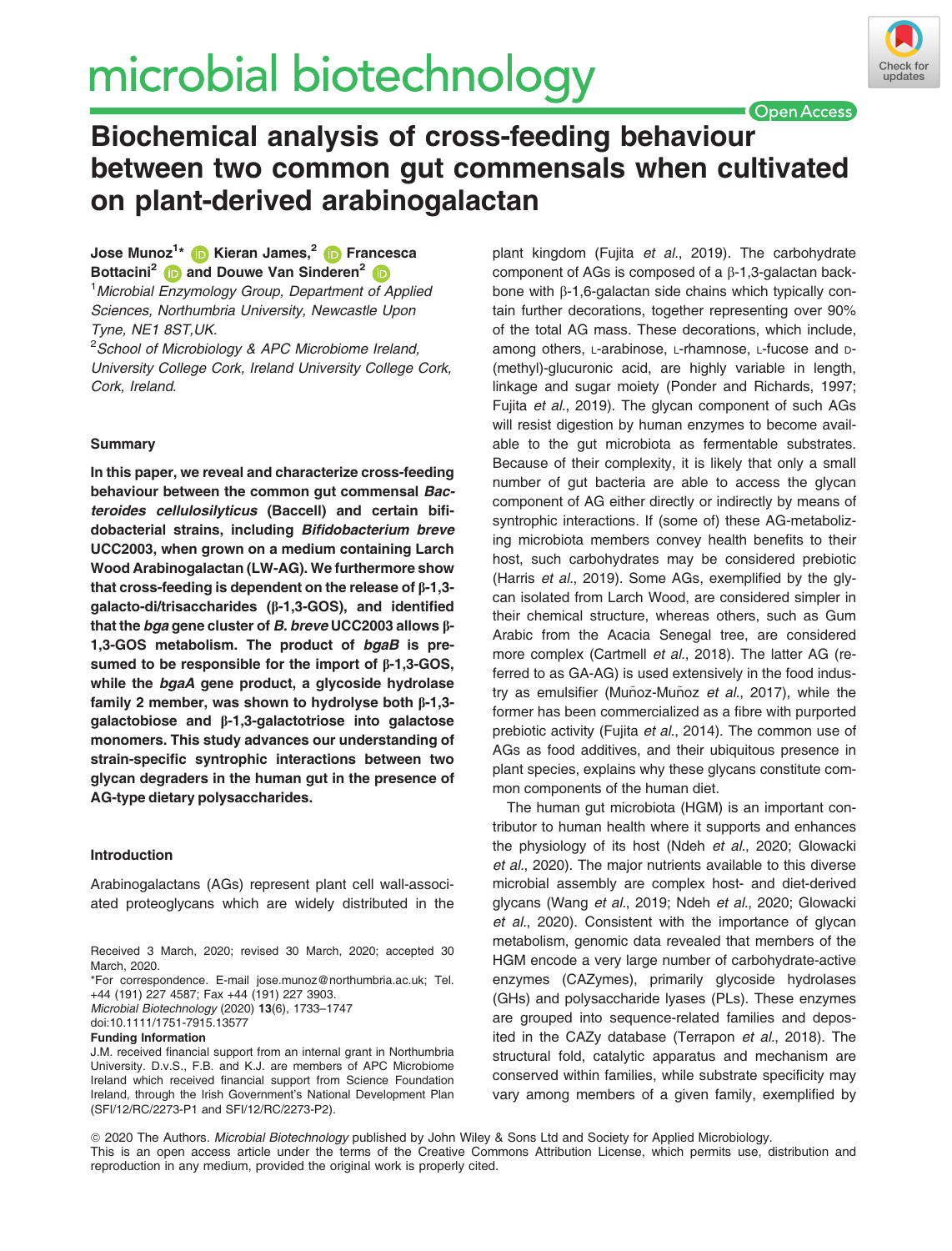# microbial biotechnology



**Open Access** 

# Biochemical analysis of cross-feeding behaviour between two common gut commensals when cultivated on plant-derived arabinogalactan

Jose Munoz<sup>1</sup>[\\*](https://orcid.org/0000-0003-0010-948X) (D Kieran James,<sup>[2](https://orcid.org/0000-0003-3612-9626)</sup> (D Francesca Bottacini<sup>[2](https://orcid.org/0000-0002-0142-2956)</sup> and Douwe Van Sinderen<sup>2</sup> and <sup>1</sup> Microbial Enzymology Group, Department of Applied Sciences, Northumbria University, Newcastle Upon

Tyne, NE1 8ST,UK.

<sup>2</sup>School of Microbiology & APC Microbiome Ireland, University College Cork, Ireland University College Cork, Cork, Ireland.

# Summary

In this paper, we reveal and characterize cross-feeding behaviour between the common gut commensal Bacteroides cellulosilyticus (Baccell) and certain bifidobacterial strains, including Bifidobacterium breve UCC2003, when grown on a medium containing Larch Wood Arabinogalactan (LW-AG). We furthermore show that cross-feeding is dependent on the release of b-1,3 galacto-di/trisaccharides (b-1,3-GOS), and identified that the bga gene cluster of B. breve UCC2003 allows  $\beta$ -1,3-GOS metabolism. The product of bgaB is presumed to be responsible for the import of  $\beta$ -1,3-GOS, while the bgaA gene product, a glycoside hydrolase family 2 member, was shown to hydrolyse both  $\beta$ -1,3galactobiose and b-1,3-galactotriose into galactose monomers. This study advances our understanding of strain-specific syntrophic interactions between two glycan degraders in the human gut in the presence of AG-type dietary polysaccharides.

# Introduction

Arabinogalactans (AGs) represent plant cell wall-associated proteoglycans which are widely distributed in the

Received 3 March, 2020; revised 30 March, 2020; accepted 30 March, 2020.

\*For correspondence. E-mail [jose.munoz@northumbria.ac.uk](mailto:); Tel. +44 (191) 227 4587; Fax +44 (191) 227 3903.

Microbial Biotechnology (2020) 13(6), 1733–1747

doi:10.1111/1751-7915.13577 Funding Information

J.M. received financial support from an internal grant in Northumbria University. D.v.S., F.B. and K.J. are members of APC Microbiome Ireland which received financial support from Science Foundation Ireland, through the Irish Government's National Development Plan (SFI/12/RC/2273-P1 and SFI/12/RC/2273-P2).

plant kingdom (Fujita et al., 2019). The carbohydrate component of AGs is composed of a  $\beta$ -1,3-galactan backbone with  $\beta$ -1,6-galactan side chains which typically contain further decorations, together representing over 90% of the total AG mass. These decorations, which include, among others, L-arabinose, L-rhamnose, L-fucose and D- (methyl)-glucuronic acid, are highly variable in length, linkage and sugar moiety (Ponder and Richards, 1997; Fujita et al., 2019). The glycan component of such AGs will resist digestion by human enzymes to become available to the gut microbiota as fermentable substrates. Because of their complexity, it is likely that only a small number of gut bacteria are able to access the glycan component of AG either directly or indirectly by means of syntrophic interactions. If (some of) these AG-metabolizing microbiota members convey health benefits to their host, such carbohydrates may be considered prebiotic (Harris et al., 2019). Some AGs, exemplified by the glycan isolated from Larch Wood, are considered simpler in their chemical structure, whereas others, such as Gum Arabic from the Acacia Senegal tree, are considered more complex (Cartmell et al., 2018). The latter AG (referred to as GA-AG) is used extensively in the food industry as emulsifier (Muñoz-Muñoz et al., 2017), while the former has been commercialized as a fibre with purported prebiotic activity (Fujita et al., 2014). The common use of AGs as food additives, and their ubiquitous presence in plant species, explains why these glycans constitute common components of the human diet.

The human gut microbiota (HGM) is an important contributor to human health where it supports and enhances the physiology of its host (Ndeh et al., 2020; Glowacki et al., 2020). The major nutrients available to this diverse microbial assembly are complex host- and diet-derived glycans (Wang et al., 2019; Ndeh et al., 2020; Glowacki et al., 2020). Consistent with the importance of glycan metabolism, genomic data revealed that members of the HGM encode a very large number of carbohydrate-active enzymes (CAZymes), primarily glycoside hydrolases (GHs) and polysaccharide lyases (PLs). These enzymes are grouped into sequence-related families and deposited in the CAZy database (Terrapon et al., 2018). The structural fold, catalytic apparatus and mechanism are conserved within families, while substrate specificity may vary among members of a given family, exemplified by

ª 2020 The Authors. Microbial Biotechnology published by John Wiley & Sons Ltd and Society for Applied Microbiology. This is an open access article under the terms of the [Creative Commons Attribution](http://creativecommons.org/licenses/by/4.0/) License, which permits use, distribution and reproduction in any medium, provided the original work is properly cited.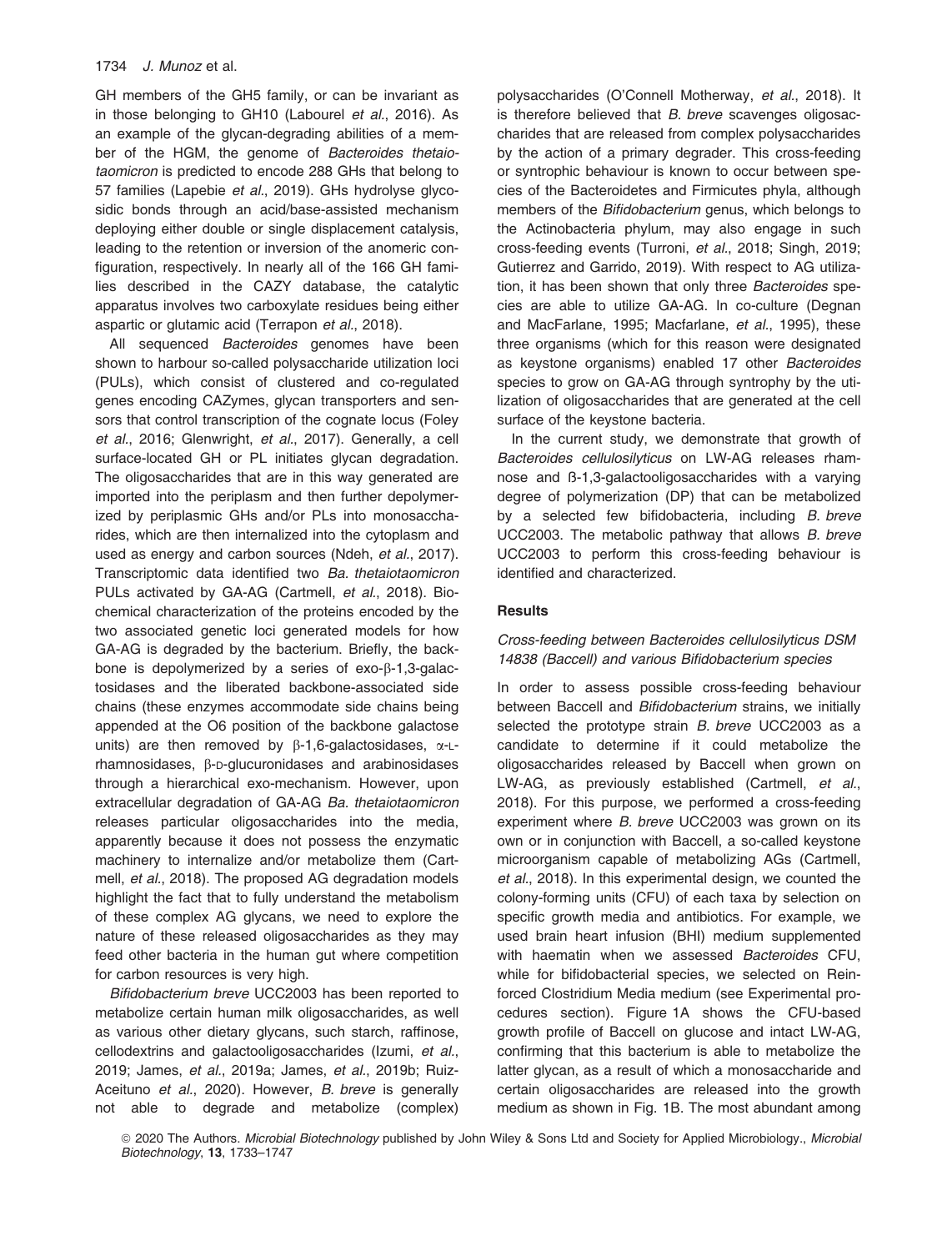GH members of the GH5 family, or can be invariant as in those belonging to GH10 (Labourel et al., 2016). As an example of the glycan-degrading abilities of a member of the HGM, the genome of Bacteroides thetaiotaomicron is predicted to encode 288 GHs that belong to 57 families (Lapebie et al., 2019). GHs hydrolyse glycosidic bonds through an acid/base-assisted mechanism deploying either double or single displacement catalysis, leading to the retention or inversion of the anomeric configuration, respectively. In nearly all of the 166 GH families described in the CAZY database, the catalytic apparatus involves two carboxylate residues being either aspartic or glutamic acid (Terrapon et al., 2018).

All sequenced Bacteroides genomes have been shown to harbour so-called polysaccharide utilization loci (PULs), which consist of clustered and co-regulated genes encoding CAZymes, glycan transporters and sensors that control transcription of the cognate locus (Foley et al., 2016; Glenwright, et al., 2017). Generally, a cell surface-located GH or PL initiates glycan degradation. The oligosaccharides that are in this way generated are imported into the periplasm and then further depolymerized by periplasmic GHs and/or PLs into monosaccharides, which are then internalized into the cytoplasm and used as energy and carbon sources (Ndeh, et al., 2017). Transcriptomic data identified two Ba. thetaiotaomicron PULs activated by GA-AG (Cartmell, et al., 2018). Biochemical characterization of the proteins encoded by the two associated genetic loci generated models for how GA-AG is degraded by the bacterium. Briefly, the backbone is depolymerized by a series of  $exo-\beta-1,3-galac$ tosidases and the liberated backbone-associated side chains (these enzymes accommodate side chains being appended at the O6 position of the backbone galactose units) are then removed by  $\beta$ -1,6-galactosidases,  $\alpha$ -Lrhamnosidases, B-p-glucuronidases and arabinosidases through a hierarchical exo-mechanism. However, upon extracellular degradation of GA-AG Ba. thetaiotaomicron releases particular oligosaccharides into the media, apparently because it does not possess the enzymatic machinery to internalize and/or metabolize them (Cartmell, et al., 2018). The proposed AG degradation models highlight the fact that to fully understand the metabolism of these complex AG glycans, we need to explore the nature of these released oligosaccharides as they may feed other bacteria in the human gut where competition for carbon resources is very high.

Bifidobacterium breve UCC2003 has been reported to metabolize certain human milk oligosaccharides, as well as various other dietary glycans, such starch, raffinose, cellodextrins and galactooligosaccharides (Izumi, et al., 2019; James, et al., 2019a; James, et al., 2019b; Ruiz-Aceituno et al., 2020). However, B. breve is generally not able to degrade and metabolize (complex) polysaccharides (O'Connell Motherway, et al., 2018). It is therefore believed that B. breve scavenges oligosaccharides that are released from complex polysaccharides by the action of a primary degrader. This cross-feeding or syntrophic behaviour is known to occur between species of the Bacteroidetes and Firmicutes phyla, although members of the Bifidobacterium genus, which belongs to the Actinobacteria phylum, may also engage in such cross-feeding events (Turroni, et al., 2018; Singh, 2019; Gutierrez and Garrido, 2019). With respect to AG utilization, it has been shown that only three Bacteroides species are able to utilize GA-AG. In co-culture (Degnan and MacFarlane, 1995; Macfarlane, et al., 1995), these three organisms (which for this reason were designated as keystone organisms) enabled 17 other Bacteroides species to grow on GA-AG through syntrophy by the utilization of oligosaccharides that are generated at the cell surface of the keystone bacteria.

In the current study, we demonstrate that growth of Bacteroides cellulosilyticus on LW-AG releases rhamnose and ß-1,3-galactooligosaccharides with a varying degree of polymerization (DP) that can be metabolized by a selected few bifidobacteria, including B. breve UCC2003. The metabolic pathway that allows B. breve UCC2003 to perform this cross-feeding behaviour is identified and characterized.

### **Results**

# Cross-feeding between Bacteroides cellulosilyticus DSM 14838 (Baccell) and various Bifidobacterium species

In order to assess possible cross-feeding behaviour between Baccell and Bifidobacterium strains, we initially selected the prototype strain B. breve UCC2003 as a candidate to determine if it could metabolize the oligosaccharides released by Baccell when grown on LW-AG, as previously established (Cartmell, et al., 2018). For this purpose, we performed a cross-feeding experiment where B. breve UCC2003 was grown on its own or in conjunction with Baccell, a so-called keystone microorganism capable of metabolizing AGs (Cartmell, et al., 2018). In this experimental design, we counted the colony-forming units (CFU) of each taxa by selection on specific growth media and antibiotics. For example, we used brain heart infusion (BHI) medium supplemented with haematin when we assessed Bacteroides CFU, while for bifidobacterial species, we selected on Reinforced Clostridium Media medium (see Experimental procedures section). Figure 1A shows the CFU-based growth profile of Baccell on glucose and intact LW-AG, confirming that this bacterium is able to metabolize the latter glycan, as a result of which a monosaccharide and certain oligosaccharides are released into the growth medium as shown in Fig. 1B. The most abundant among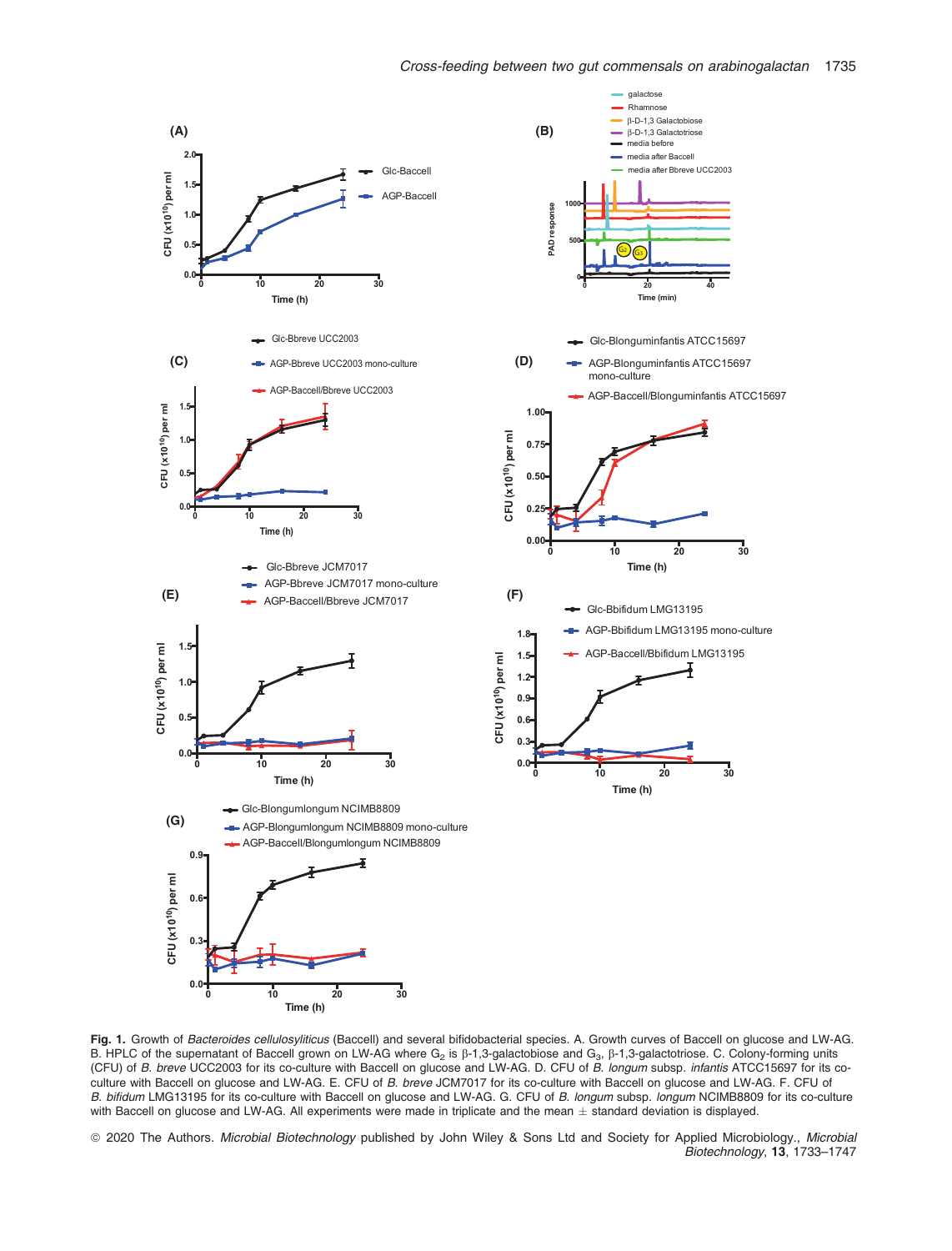



Fig. 1. Growth of Bacteroides cellulosyliticus (Baccell) and several bifidobacterial species. A. Growth curves of Baccell on glucose and LW-AG. B. HPLC of the supernatant of Baccell grown on LW-AG where  $G_2$  is  $\beta$ -1,3-galactobiose and  $G_3$ ,  $\beta$ -1,3-galactotriose. C. Colony-forming units (CFU) of B. breve UCC2003 for its co-culture with Baccell on glucose and LW-AG. D. CFU of B. longum subsp. infantis ATCC15697 for its coculture with Baccell on glucose and LW-AG. E. CFU of B. breve JCM7017 for its co-culture with Baccell on glucose and LW-AG. F. CFU of B. bifidum LMG13195 for its co-culture with Baccell on glucose and LW-AG. G. CFU of B. longum subsp. longum NCIMB8809 for its co-culture with Baccell on glucose and LW-AG. All experiments were made in triplicate and the mean  $\pm$  standard deviation is displayed.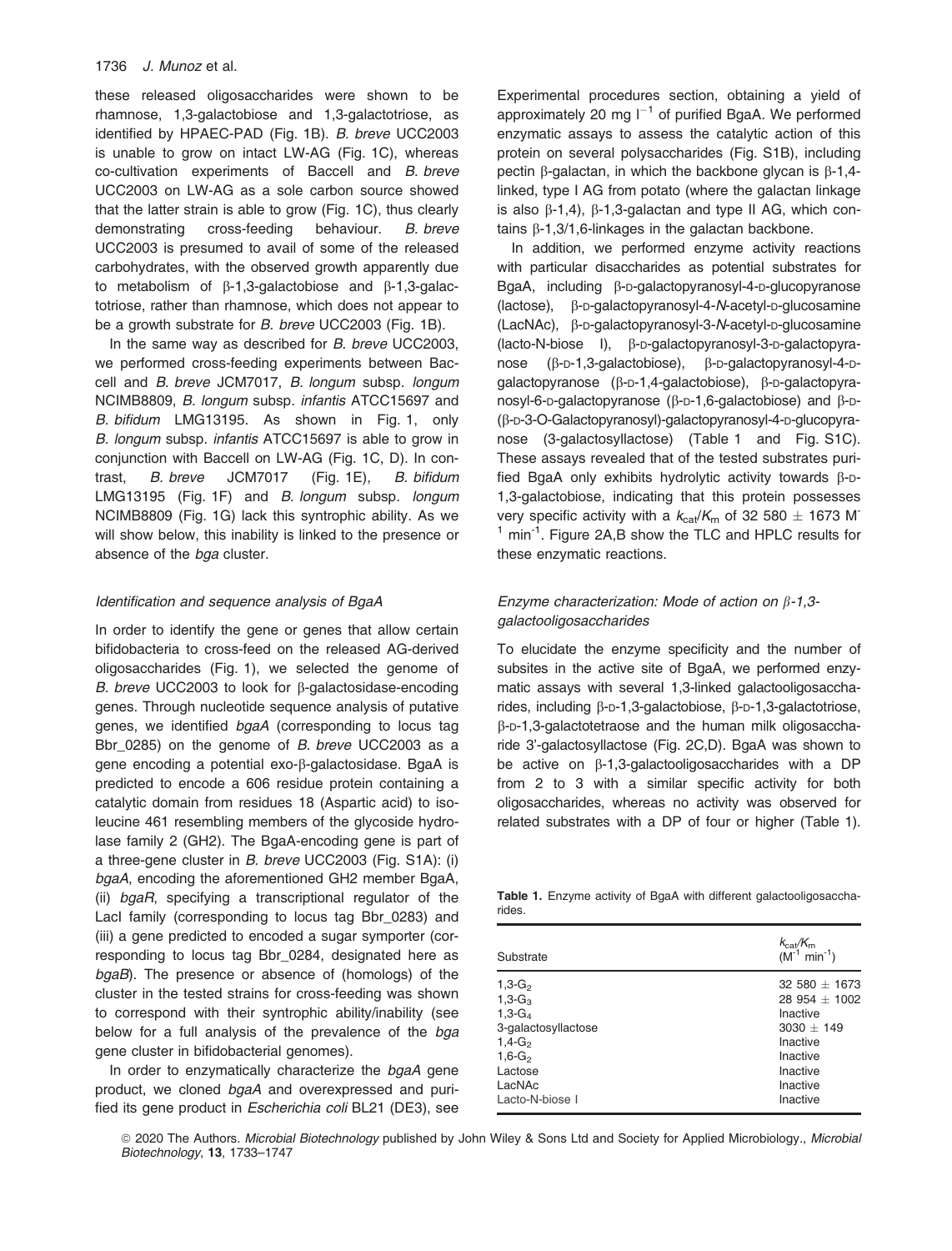these released oligosaccharides were shown to be rhamnose, 1,3-galactobiose and 1,3-galactotriose, as identified by HPAEC-PAD (Fig. 1B). B. breve UCC2003 is unable to grow on intact LW-AG (Fig. 1C), whereas co-cultivation experiments of Baccell and B. breve UCC2003 on LW-AG as a sole carbon source showed that the latter strain is able to grow (Fig. 1C), thus clearly demonstrating cross-feeding behaviour. B. breve UCC2003 is presumed to avail of some of the released carbohydrates, with the observed growth apparently due to metabolism of  $\beta$ -1,3-galactobiose and  $\beta$ -1,3-galactotriose, rather than rhamnose, which does not appear to be a growth substrate for B. breve UCC2003 (Fig. 1B).

In the same way as described for B. breve UCC2003, we performed cross-feeding experiments between Baccell and B. breve JCM7017, B. longum subsp. longum NCIMB8809, B. longum subsp. infantis ATCC15697 and B. bifidum LMG13195. As shown in Fig. 1, only B. longum subsp. infantis ATCC15697 is able to grow in conjunction with Baccell on LW-AG (Fig. 1C, D). In contrast, B. breve JCM7017 (Fig. 1E), B. bifidum LMG13195 (Fig. 1F) and B. longum subsp. longum NCIMB8809 (Fig. 1G) lack this syntrophic ability. As we will show below, this inability is linked to the presence or absence of the bga cluster.

### Identification and sequence analysis of BgaA

In order to identify the gene or genes that allow certain bifidobacteria to cross-feed on the released AG-derived oligosaccharides (Fig. 1), we selected the genome of B. breve UCC2003 to look for  $\beta$ -galactosidase-encoding genes. Through nucleotide sequence analysis of putative genes, we identified bgaA (corresponding to locus tag Bbr\_0285) on the genome of B. breve UCC2003 as a gene encoding a potential exo-b-galactosidase. BgaA is predicted to encode a 606 residue protein containing a catalytic domain from residues 18 (Aspartic acid) to isoleucine 461 resembling members of the glycoside hydrolase family 2 (GH2). The BgaA-encoding gene is part of a three-gene cluster in B. breve UCC2003 (Fig. S1A): (i) bgaA, encoding the aforementioned GH2 member BgaA, (ii) bgaR, specifying a transcriptional regulator of the LacI family (corresponding to locus tag Bbr\_0283) and (iii) a gene predicted to encoded a sugar symporter (corresponding to locus tag Bbr\_0284, designated here as bgaB). The presence or absence of (homologs) of the cluster in the tested strains for cross-feeding was shown to correspond with their syntrophic ability/inability (see below for a full analysis of the prevalence of the bga gene cluster in bifidobacterial genomes).

In order to enzymatically characterize the bgaA gene product, we cloned bgaA and overexpressed and purified its gene product in Escherichia coli BL21 (DE3), see Experimental procedures section, obtaining a yield of approximately 20 mg  $I^{-1}$  of purified BgaA. We performed enzymatic assays to assess the catalytic action of this protein on several polysaccharides (Fig. S1B), including pectin  $\beta$ -galactan, in which the backbone glycan is  $\beta$ -1,4linked, type I AG from potato (where the galactan linkage is also  $\beta$ -1,4),  $\beta$ -1,3-galactan and type II AG, which contains  $\beta$ -1,3/1,6-linkages in the galactan backbone.

In addition, we performed enzyme activity reactions with particular disaccharides as potential substrates for BgaA, including B-p-galactopyranosyl-4-p-glucopyranose  $(lactose)$ ,  $\beta$ -D-galactopyranosyl-4-N-acetyl-D-glucosamine (LacNAc), b-D-galactopyranosyl-3-N-acetyl-D-glucosamine (lacto-N-biose I), β-p-galactopyranosyl-3-p-galactopyranose  $(\beta$ -p-1,3-galactobiose),  $\beta$ -p-galactopyranosyl-4-pgalactopyranose (b-D-1,4-galactobiose), b-D-galactopyranosyl-6-p-galactopyranose ( $\beta$ -p-1,6-galactobiose) and  $\beta$ -p-(b-D-3-O-Galactopyranosyl)-galactopyranosyl-4-D-glucopyranose (3-galactosyllactose) (Table 1 and Fig. S1C). These assays revealed that of the tested substrates purified BgaA only exhibits hydrolytic activity towards  $\beta$ -D-1,3-galactobiose, indicating that this protein possesses very specific activity with a  $k_{\text{cat}}/K_{\text{m}}$  of 32 580  $\pm$  1673 M<sup>-</sup>  $<sup>1</sup>$  min<sup>-1</sup>. Figure 2A,B show the TLC and HPLC results for</sup> these enzymatic reactions.

# Enzyme characterization: Mode of action on  $\beta$ -1,3galactooligosaccharides

To elucidate the enzyme specificity and the number of subsites in the active site of BgaA, we performed enzymatic assays with several 1,3-linked galactooligosaccharides, including  $\beta$ -p-1,3-galactobiose,  $\beta$ -p-1,3-galactotriose, b-D-1,3-galactotetraose and the human milk oligosaccharide 3'-galactosyllactose (Fig. 2C,D). BgaA was shown to be active on  $\beta$ -1,3-galactooligosaccharides with a DP from 2 to 3 with a similar specific activity for both oligosaccharides, whereas no activity was observed for related substrates with a DP of four or higher (Table 1).

Table 1. Enzyme activity of BgaA with different galactooligosaccharides.

| Substrate                                                                                                                      | $k_{\text{cat}}/K_{\text{m}}$<br>$(M^{-1} \text{ min}^{-1})$                                                             |
|--------------------------------------------------------------------------------------------------------------------------------|--------------------------------------------------------------------------------------------------------------------------|
| $1,3-G_2$<br>$1.3 - G3$<br>$1,3-G_4$<br>3-galactosyllactose<br>$1.4 - G2$<br>$1,6-G_2$<br>Lactose<br>LacNAc<br>Lacto-N-biose I | $32580 + 1673$<br>$28954 + 1002$<br>Inactive<br>$3030 + 149$<br>Inactive<br>Inactive<br>Inactive<br>Inactive<br>Inactive |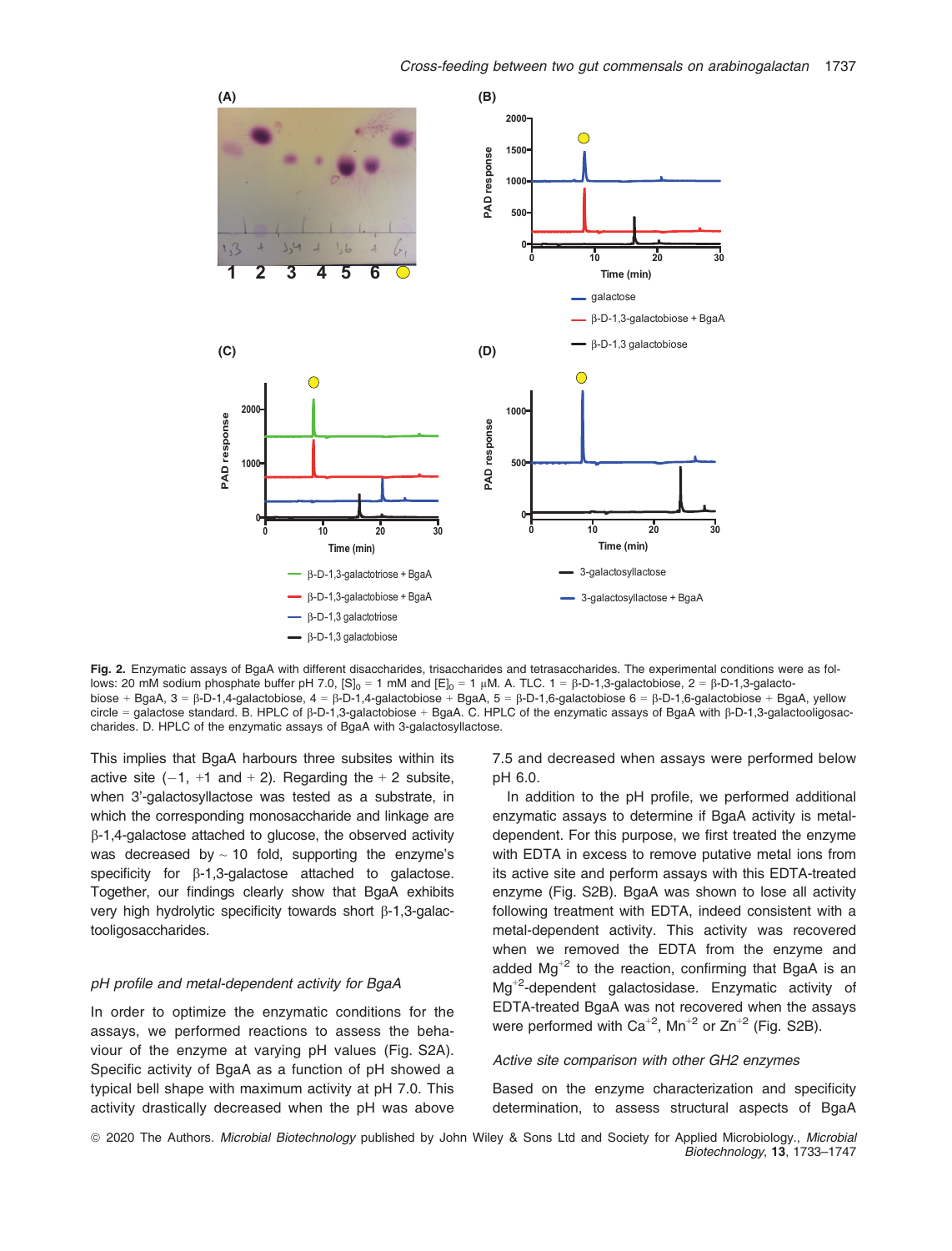

Fig. 2. Enzymatic assays of BgaA with different disaccharides, trisaccharides and tetrasaccharides. The experimental conditions were as follows: 20 mM sodium phosphate buffer pH 7.0,  $[S]_0 = 1$  mM and  $[E]_0 = 1$  uM. A. TLC.  $1 = \beta$ -D-1,3-galactobiose,  $2 = \beta$ -D-1,3-galactobiose + BgaA, 3 =  $\beta$ -D-1,4-galactobiose, 4 =  $\beta$ -D-1,4-galactobiose + BgaA, 5 =  $\beta$ -D-1,6-galactobiose 6 =  $\beta$ -D-1,6-galactobiose + BgaA, yellow circle = galactose standard. B. HPLC of  $\beta$ -D-1,3-galactobiose + BgaA. C. HPLC of the enzymatic assays of BgaA with  $\beta$ -D-1,3-galactooligosaccharides. D. HPLC of the enzymatic assays of BgaA with 3-galactosyllactose.

This implies that BgaA harbours three subsites within its active site  $(-1, +1, -1)$  and  $+ 2$ ). Regarding the  $+ 2$  subsite, when 3'-galactosyllactose was tested as a substrate, in which the corresponding monosaccharide and linkage are  $\beta$ -1,4-galactose attached to glucose, the observed activity was decreased by  $\sim$  10 fold, supporting the enzyme's specificity for  $\beta$ -1,3-galactose attached to galactose. Together, our findings clearly show that BgaA exhibits very high hydrolytic specificity towards short  $\beta$ -1,3-galactooligosaccharides.

#### pH profile and metal-dependent activity for BgaA

In order to optimize the enzymatic conditions for the assays, we performed reactions to assess the behaviour of the enzyme at varying pH values (Fig. S2A). Specific activity of BgaA as a function of pH showed a typical bell shape with maximum activity at pH 7.0. This activity drastically decreased when the pH was above

7.5 and decreased when assays were performed below pH 6.0.

In addition to the pH profile, we performed additional enzymatic assays to determine if BgaA activity is metaldependent. For this purpose, we first treated the enzyme with EDTA in excess to remove putative metal ions from its active site and perform assays with this EDTA-treated enzyme (Fig. S2B). BgaA was shown to lose all activity following treatment with EDTA, indeed consistent with a metal-dependent activity. This activity was recovered when we removed the EDTA from the enzyme and added  $Mg^{2}$  to the reaction, confirming that BgaA is an Mg+<sup>2</sup> -dependent galactosidase. Enzymatic activity of EDTA-treated BgaA was not recovered when the assays were performed with  $Ca^{+2}$ , Mn<sup>+2</sup> or Zn<sup>+2</sup> (Fig. S2B).

# Active site comparison with other GH2 enzymes

Based on the enzyme characterization and specificity determination, to assess structural aspects of BgaA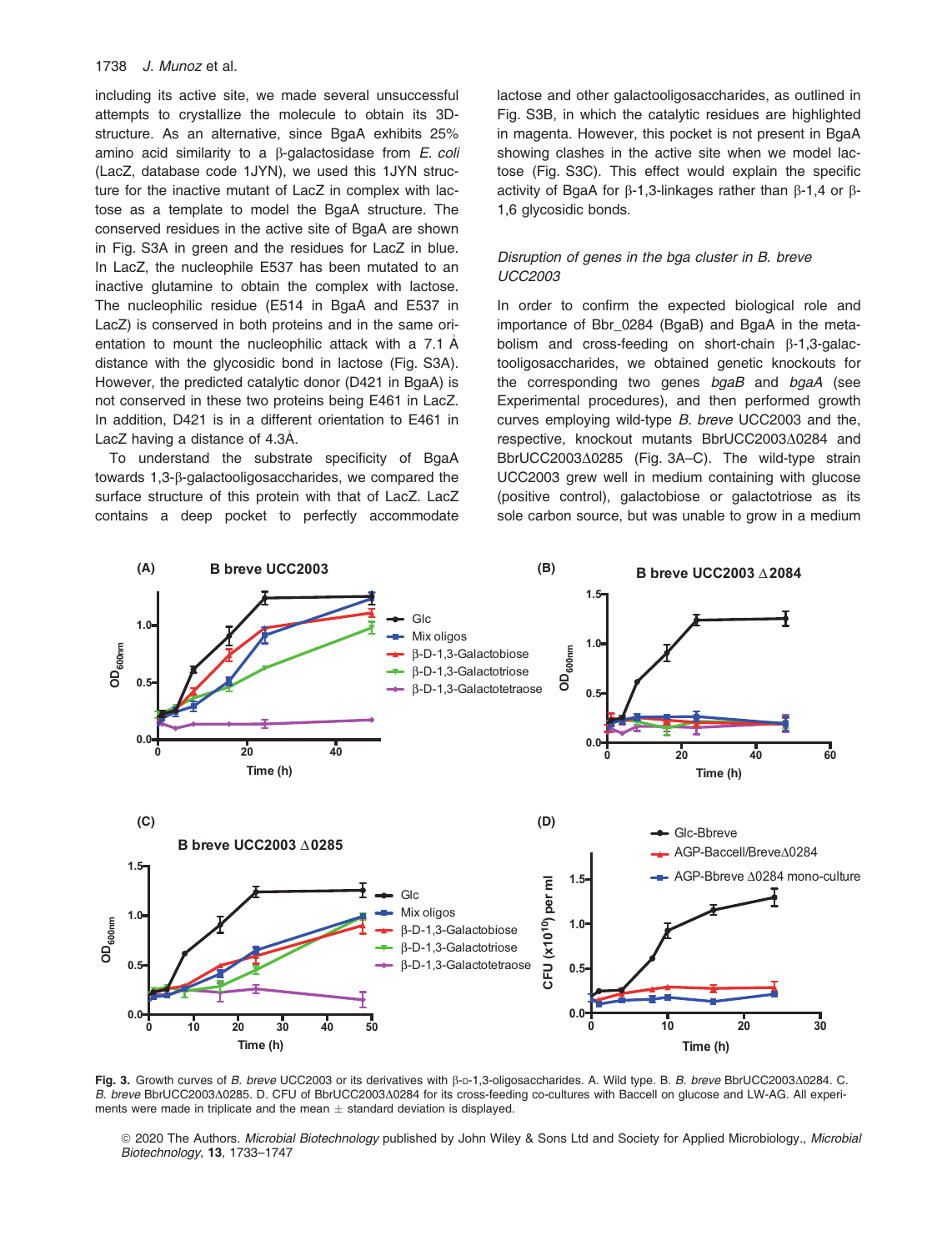including its active site, we made several unsuccessful attempts to crystallize the molecule to obtain its 3Dstructure. As an alternative, since BgaA exhibits 25% amino acid similarity to a  $\beta$ -galactosidase from *E. coli* (LacZ, database code 1JYN), we used this 1JYN structure for the inactive mutant of LacZ in complex with lactose as a template to model the BgaA structure. The conserved residues in the active site of BgaA are shown in Fig. S3A in green and the residues for LacZ in blue. In LacZ, the nucleophile E537 has been mutated to an inactive glutamine to obtain the complex with lactose. The nucleophilic residue (E514 in BgaA and E537 in LacZ) is conserved in both proteins and in the same orientation to mount the nucleophilic attack with a 7.1  $\AA$ distance with the glycosidic bond in lactose (Fig. S3A). However, the predicted catalytic donor (D421 in BgaA) is not conserved in these two proteins being E461 in LacZ. In addition, D421 is in a different orientation to E461 in LacZ having a distance of 4.3Å.

To understand the substrate specificity of BgaA towards 1,3-b-galactooligosaccharides, we compared the surface structure of this protein with that of LacZ. LacZ contains a deep pocket to perfectly accommodate

lactose and other galactooligosaccharides, as outlined in Fig. S3B, in which the catalytic residues are highlighted in magenta. However, this pocket is not present in BgaA showing clashes in the active site when we model lactose (Fig. S3C). This effect would explain the specific activity of BgaA for  $\beta$ -1,3-linkages rather than  $\beta$ -1,4 or  $\beta$ -1,6 glycosidic bonds.

# Disruption of genes in the bga cluster in B. breve UCC2003

In order to confirm the expected biological role and importance of Bbr 0284 (BgaB) and BgaA in the metabolism and cross-feeding on short-chain  $\beta$ -1,3-galactooligosaccharides, we obtained genetic knockouts for the corresponding two genes bgaB and bgaA (see Experimental procedures), and then performed growth curves employing wild-type B. breve UCC2003 and the, respective, knockout mutants BbrUCC2003 $\triangle$ 0284 and BbrUCC2003 $\triangle$ 0285 (Fig. 3A–C). The wild-type strain UCC2003 grew well in medium containing with glucose (positive control), galactobiose or galactotriose as its sole carbon source, but was unable to grow in a medium



Fig. 3. Growth curves of B. breve UCC2003 or its derivatives with  $\beta$ -D-1,3-oligosaccharides. A. Wild type. B. B. breve BbrUCC2003 $\triangle$ 0284. C. B. breve BbrUCC2003 $\triangle$ 0285. D. CFU of BbrUCC2003 $\triangle$ 0284 for its cross-feeding co-cultures with Baccell on glucose and LW-AG. All experiments were made in triplicate and the mean  $\pm$  standard deviation is displayed.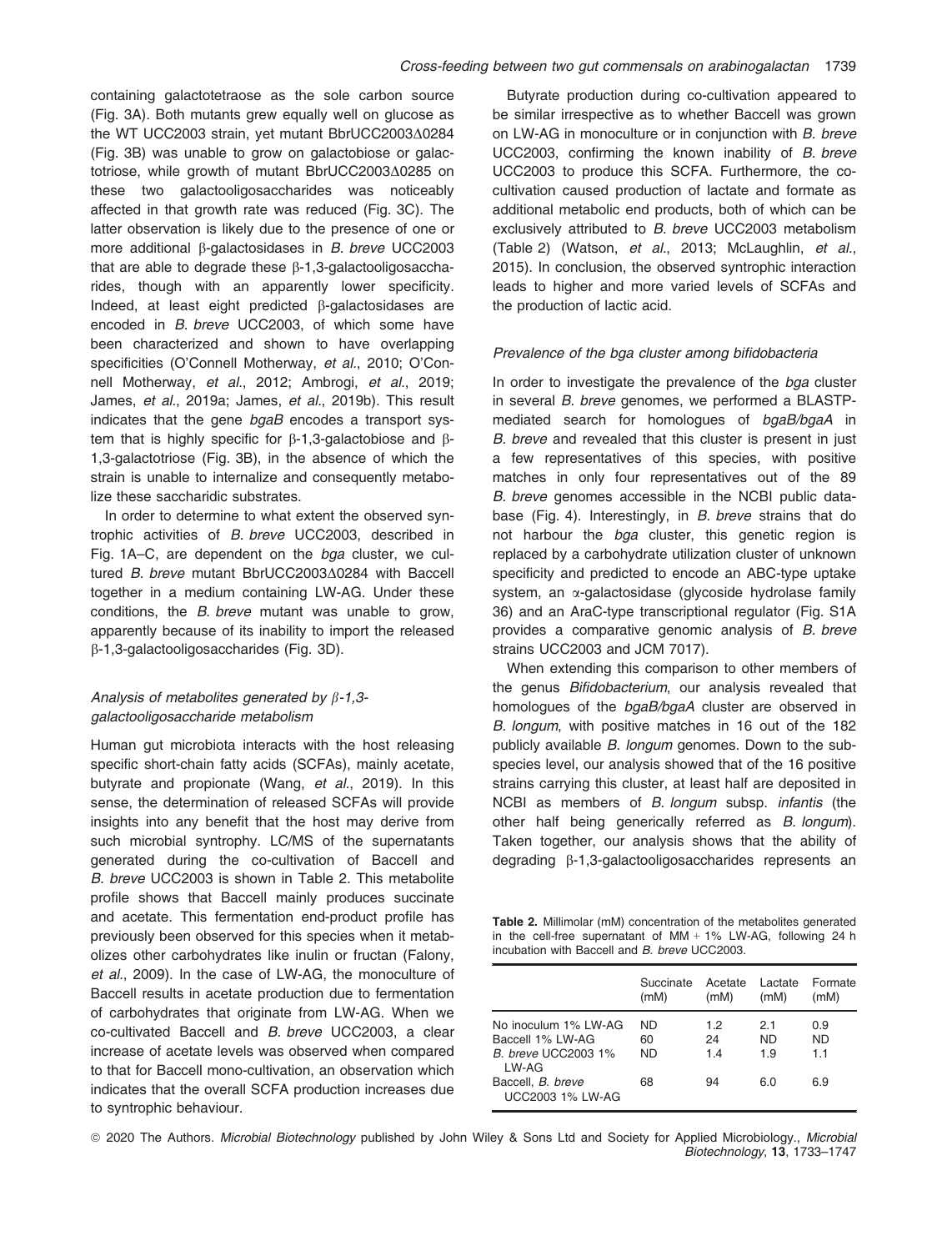containing galactotetraose as the sole carbon source (Fig. 3A). Both mutants grew equally well on glucose as the WT UCC2003 strain, yet mutant BbrUCC2003 $\Delta$ 0284 (Fig. 3B) was unable to grow on galactobiose or galactotriose, while growth of mutant BbrUCC2003 $\Delta$ 0285 on these two galactooligosaccharides was noticeably affected in that growth rate was reduced (Fig. 3C). The latter observation is likely due to the presence of one or more additional  $\beta$ -galactosidases in B. breve UCC2003 that are able to degrade these  $\beta$ -1,3-galactooligosaccharides, though with an apparently lower specificity. Indeed, at least eight predicted b-galactosidases are encoded in B. breve UCC2003, of which some have been characterized and shown to have overlapping specificities (O'Connell Motherway, et al., 2010; O'Connell Motherway, et al., 2012; Ambrogi, et al., 2019; James, et al., 2019a; James, et al., 2019b). This result indicates that the gene bgaB encodes a transport system that is highly specific for  $\beta$ -1,3-galactobiose and  $\beta$ -1,3-galactotriose (Fig. 3B), in the absence of which the strain is unable to internalize and consequently metabolize these saccharidic substrates.

In order to determine to what extent the observed syntrophic activities of B. breve UCC2003, described in Fig. 1A–C, are dependent on the bga cluster, we cultured  $B$ . breve mutant BbrUCC2003 $\triangle$ 0284 with Baccell together in a medium containing LW-AG. Under these conditions, the B. breve mutant was unable to grow, apparently because of its inability to import the released b-1,3-galactooligosaccharides (Fig. 3D).

# Analysis of metabolites generated by  $\beta$ -1,3galactooligosaccharide metabolism

Human gut microbiota interacts with the host releasing specific short-chain fatty acids (SCFAs), mainly acetate, butyrate and propionate (Wang, et al., 2019). In this sense, the determination of released SCFAs will provide insights into any benefit that the host may derive from such microbial syntrophy. LC/MS of the supernatants generated during the co-cultivation of Baccell and B. breve UCC2003 is shown in Table 2. This metabolite profile shows that Baccell mainly produces succinate and acetate. This fermentation end-product profile has previously been observed for this species when it metabolizes other carbohydrates like inulin or fructan (Falony, et al., 2009). In the case of LW-AG, the monoculture of Baccell results in acetate production due to fermentation of carbohydrates that originate from LW-AG. When we co-cultivated Baccell and B. breve UCC2003, a clear increase of acetate levels was observed when compared to that for Baccell mono-cultivation, an observation which indicates that the overall SCFA production increases due to syntrophic behaviour.

Butyrate production during co-cultivation appeared to be similar irrespective as to whether Baccell was grown on LW-AG in monoculture or in conjunction with B. breve UCC2003, confirming the known inability of B. breve UCC2003 to produce this SCFA. Furthermore, the cocultivation caused production of lactate and formate as additional metabolic end products, both of which can be exclusively attributed to B. breve UCC2003 metabolism (Table 2) (Watson, et al., 2013; McLaughlin, et al., 2015). In conclusion, the observed syntrophic interaction leads to higher and more varied levels of SCFAs and the production of lactic acid.

#### Prevalence of the bga cluster among bifidobacteria

In order to investigate the prevalence of the bga cluster in several B. breve genomes, we performed a BLASTPmediated search for homologues of bgaB/bgaA in B. breve and revealed that this cluster is present in just a few representatives of this species, with positive matches in only four representatives out of the 89 B. breve genomes accessible in the NCBI public database (Fig. 4). Interestingly, in B. breve strains that do not harbour the bga cluster, this genetic region is replaced by a carbohydrate utilization cluster of unknown specificity and predicted to encode an ABC-type uptake system, an  $\alpha$ -galactosidase (glycoside hydrolase family 36) and an AraC-type transcriptional regulator (Fig. S1A provides a comparative genomic analysis of B. breve strains UCC2003 and JCM 7017).

When extending this comparison to other members of the genus Bifidobacterium, our analysis revealed that homologues of the bgaB/bgaA cluster are observed in B. longum, with positive matches in 16 out of the 182 publicly available B. longum genomes. Down to the subspecies level, our analysis showed that of the 16 positive strains carrying this cluster, at least half are deposited in NCBI as members of B. longum subsp. infantis (the other half being generically referred as B. longum). Taken together, our analysis shows that the ability of degrading β-1,3-galactooligosaccharides represents an

Table 2. Millimolar (mM) concentration of the metabolites generated in the cell-free supernatant of MM + 1% LW-AG, following 24 h incubation with Baccell and B. breve UCC2003.

|                                                                                   | Succinate<br>(mM)     | Acetate<br>(mM)  | Lactate<br>(mM)   | Formate<br>(mM)  |
|-----------------------------------------------------------------------------------|-----------------------|------------------|-------------------|------------------|
| No inoculum 1% LW-AG<br>Baccell 1% I W-AG<br><b>B.</b> breve UCC2003 1%<br>I W-AG | ND<br>60<br><b>ND</b> | 1.2<br>24<br>1.4 | 2.1<br>ND.<br>1.9 | 0.9<br>ND<br>1.1 |
| Baccell, <i>B. breve</i><br>UCC2003 1% LW-AG                                      | 68                    | 94               | 6.0               | 6.9              |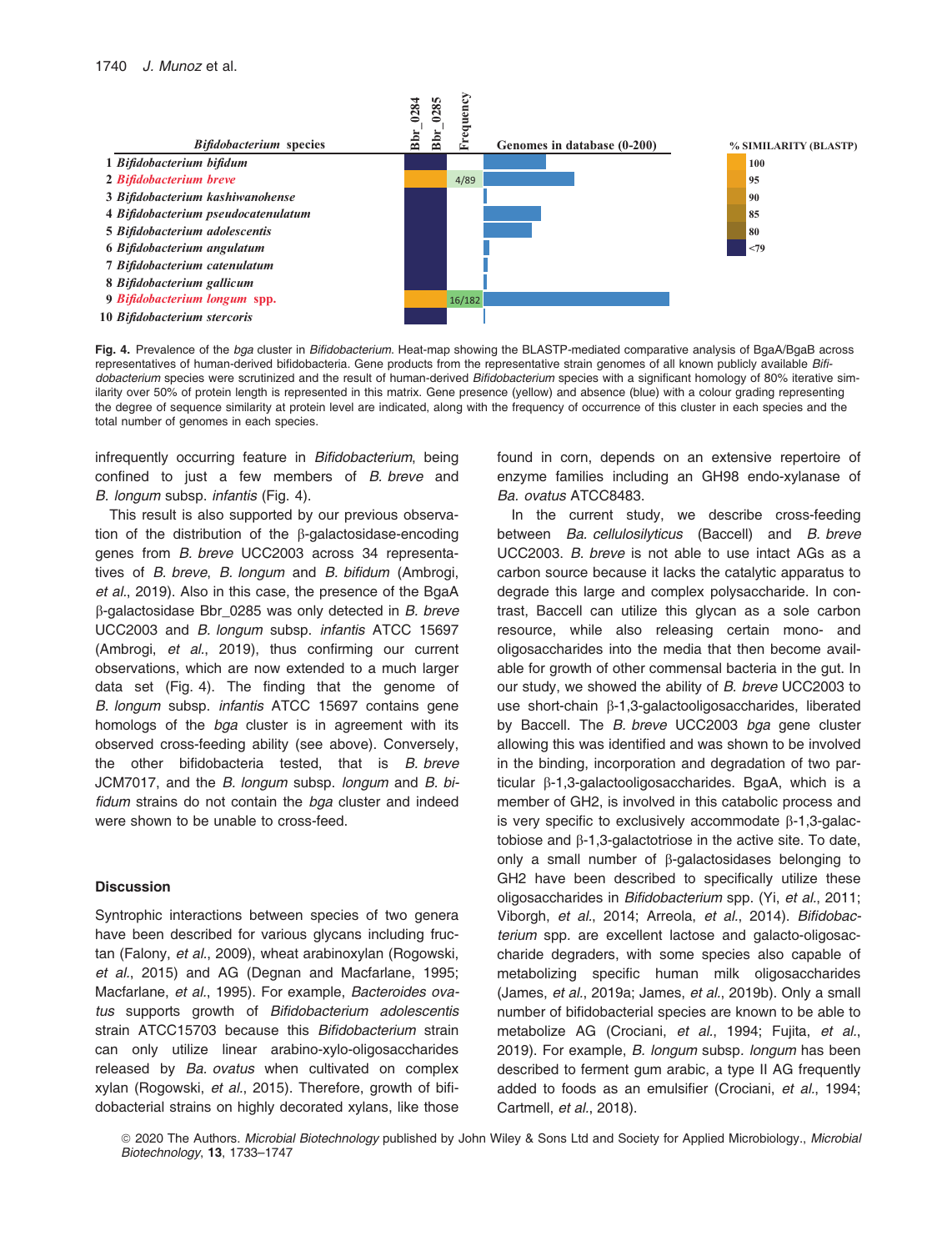

Fig. 4. Prevalence of the bga cluster in Bifidobacterium. Heat-map showing the BLASTP-mediated comparative analysis of BgaA/BgaB across representatives of human-derived bifidobacteria. Gene products from the representative strain genomes of all known publicly available Bifidobacterium species were scrutinized and the result of human-derived Bifidobacterium species with a significant homology of 80% iterative similarity over 50% of protein length is represented in this matrix. Gene presence (yellow) and absence (blue) with a colour grading representing the degree of sequence similarity at protein level are indicated, along with the frequency of occurrence of this cluster in each species and the total number of genomes in each species.

infrequently occurring feature in Bifidobacterium, being confined to just a few members of B. breve and B. longum subsp. infantis (Fig. 4).

This result is also supported by our previous observation of the distribution of the b-galactosidase-encoding genes from B. breve UCC2003 across 34 representatives of B. breve, B. longum and B. bifidum (Ambrogi, et al., 2019). Also in this case, the presence of the BgaA  $\beta$ -galactosidase Bbr\_0285 was only detected in B. breve UCC2003 and B. longum subsp. infantis ATCC 15697 (Ambrogi, et al., 2019), thus confirming our current observations, which are now extended to a much larger data set (Fig. 4). The finding that the genome of B. longum subsp. infantis ATCC 15697 contains gene homologs of the *bga* cluster is in agreement with its observed cross-feeding ability (see above). Conversely, the other bifidobacteria tested, that is B. breve JCM7017, and the B. longum subsp. longum and B. bifidum strains do not contain the bga cluster and indeed were shown to be unable to cross-feed.

### **Discussion**

Syntrophic interactions between species of two genera have been described for various glycans including fructan (Falony, et al., 2009), wheat arabinoxylan (Rogowski, et al., 2015) and AG (Degnan and Macfarlane, 1995; Macfarlane, et al., 1995). For example, Bacteroides ovatus supports growth of Bifidobacterium adolescentis strain ATCC15703 because this Bifidobacterium strain can only utilize linear arabino-xylo-oligosaccharides released by Ba. ovatus when cultivated on complex xylan (Rogowski, et al., 2015). Therefore, growth of bifidobacterial strains on highly decorated xylans, like those

found in corn, depends on an extensive repertoire of enzyme families including an GH98 endo-xylanase of Ba. ovatus ATCC8483.

In the current study, we describe cross-feeding between Ba. cellulosilyticus (Baccell) and B. breve UCC2003. B. breve is not able to use intact AGs as a carbon source because it lacks the catalytic apparatus to degrade this large and complex polysaccharide. In contrast, Baccell can utilize this glycan as a sole carbon resource, while also releasing certain mono- and oligosaccharides into the media that then become available for growth of other commensal bacteria in the gut. In our study, we showed the ability of B. breve UCC2003 to use short-chain  $\beta$ -1,3-galactooligosaccharides, liberated by Baccell. The B. breve UCC2003 bga gene cluster allowing this was identified and was shown to be involved in the binding, incorporation and degradation of two particular β-1,3-galactooligosaccharides. BgaA, which is a member of GH2, is involved in this catabolic process and is very specific to exclusively accommodate  $\beta$ -1,3-galactobiose and  $\beta$ -1,3-galactotriose in the active site. To date, only a small number of b-galactosidases belonging to GH2 have been described to specifically utilize these oligosaccharides in Bifidobacterium spp. (Yi, et al., 2011; Viborgh, et al., 2014; Arreola, et al., 2014). Bifidobacterium spp. are excellent lactose and galacto-oligosaccharide degraders, with some species also capable of metabolizing specific human milk oligosaccharides (James, et al., 2019a; James, et al., 2019b). Only a small number of bifidobacterial species are known to be able to metabolize AG (Crociani, et al., 1994; Fujita, et al., 2019). For example, B. longum subsp. longum has been described to ferment gum arabic, a type II AG frequently added to foods as an emulsifier (Crociani, et al., 1994; Cartmell, et al., 2018).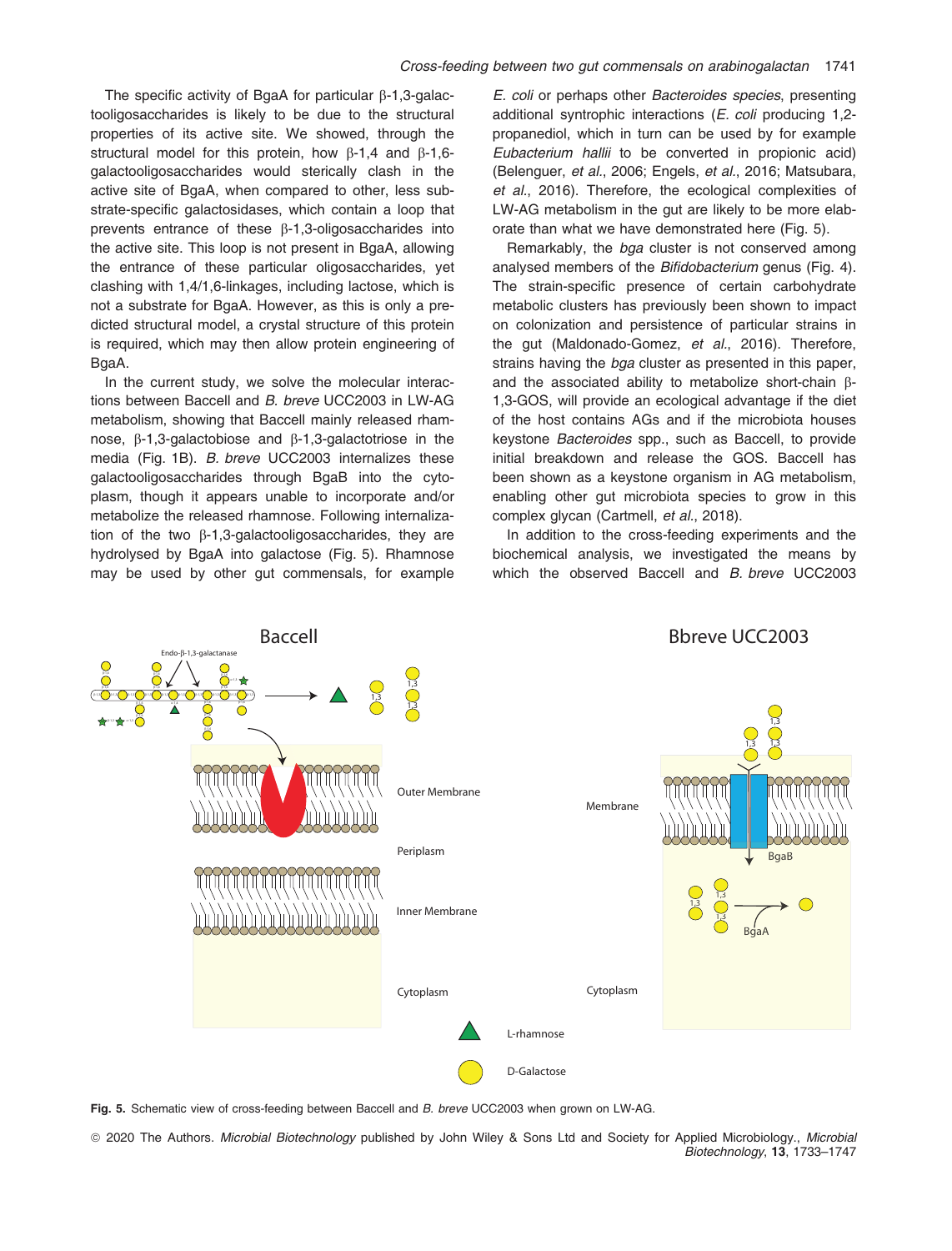The specific activity of BgaA for particular  $\beta$ -1,3-galactooligosaccharides is likely to be due to the structural properties of its active site. We showed, through the structural model for this protein, how  $\beta$ -1,4 and  $\beta$ -1,6galactooligosaccharides would sterically clash in the active site of BgaA, when compared to other, less substrate-specific galactosidases, which contain a loop that prevents entrance of these  $\beta$ -1,3-oligosaccharides into the active site. This loop is not present in BgaA, allowing the entrance of these particular oligosaccharides, yet clashing with 1,4/1,6-linkages, including lactose, which is not a substrate for BgaA. However, as this is only a predicted structural model, a crystal structure of this protein is required, which may then allow protein engineering of BgaA.

In the current study, we solve the molecular interactions between Baccell and B. breve UCC2003 in LW-AG metabolism, showing that Baccell mainly released rhamnose,  $\beta$ -1,3-galactobiose and  $\beta$ -1,3-galactotriose in the media (Fig. 1B). B. breve UCC2003 internalizes these galactooligosaccharides through BgaB into the cytoplasm, though it appears unable to incorporate and/or metabolize the released rhamnose. Following internalization of the two  $\beta$ -1,3-galactooligosaccharides, they are hydrolysed by BgaA into galactose (Fig. 5). Rhamnose may be used by other gut commensals, for example E. coli or perhaps other Bacteroides species, presenting additional syntrophic interactions (E. coli producing 1,2 propanediol, which in turn can be used by for example Eubacterium hallii to be converted in propionic acid) (Belenguer, et al., 2006; Engels, et al., 2016; Matsubara, et al., 2016). Therefore, the ecological complexities of LW-AG metabolism in the gut are likely to be more elaborate than what we have demonstrated here (Fig. 5).

Remarkably, the bga cluster is not conserved among analysed members of the Bifidobacterium genus (Fig. 4). The strain-specific presence of certain carbohydrate metabolic clusters has previously been shown to impact on colonization and persistence of particular strains in the gut (Maldonado-Gomez, et al., 2016). Therefore, strains having the *bga* cluster as presented in this paper, and the associated ability to metabolize short-chain  $\beta$ -1,3-GOS, will provide an ecological advantage if the diet of the host contains AGs and if the microbiota houses keystone Bacteroides spp., such as Baccell, to provide initial breakdown and release the GOS. Baccell has been shown as a keystone organism in AG metabolism, enabling other gut microbiota species to grow in this complex glycan (Cartmell, et al., 2018).

In addition to the cross-feeding experiments and the biochemical analysis, we investigated the means by which the observed Baccell and B. breve UCC2003



Fig. 5. Schematic view of cross-feeding between Baccell and B. breve UCC2003 when grown on LW-AG.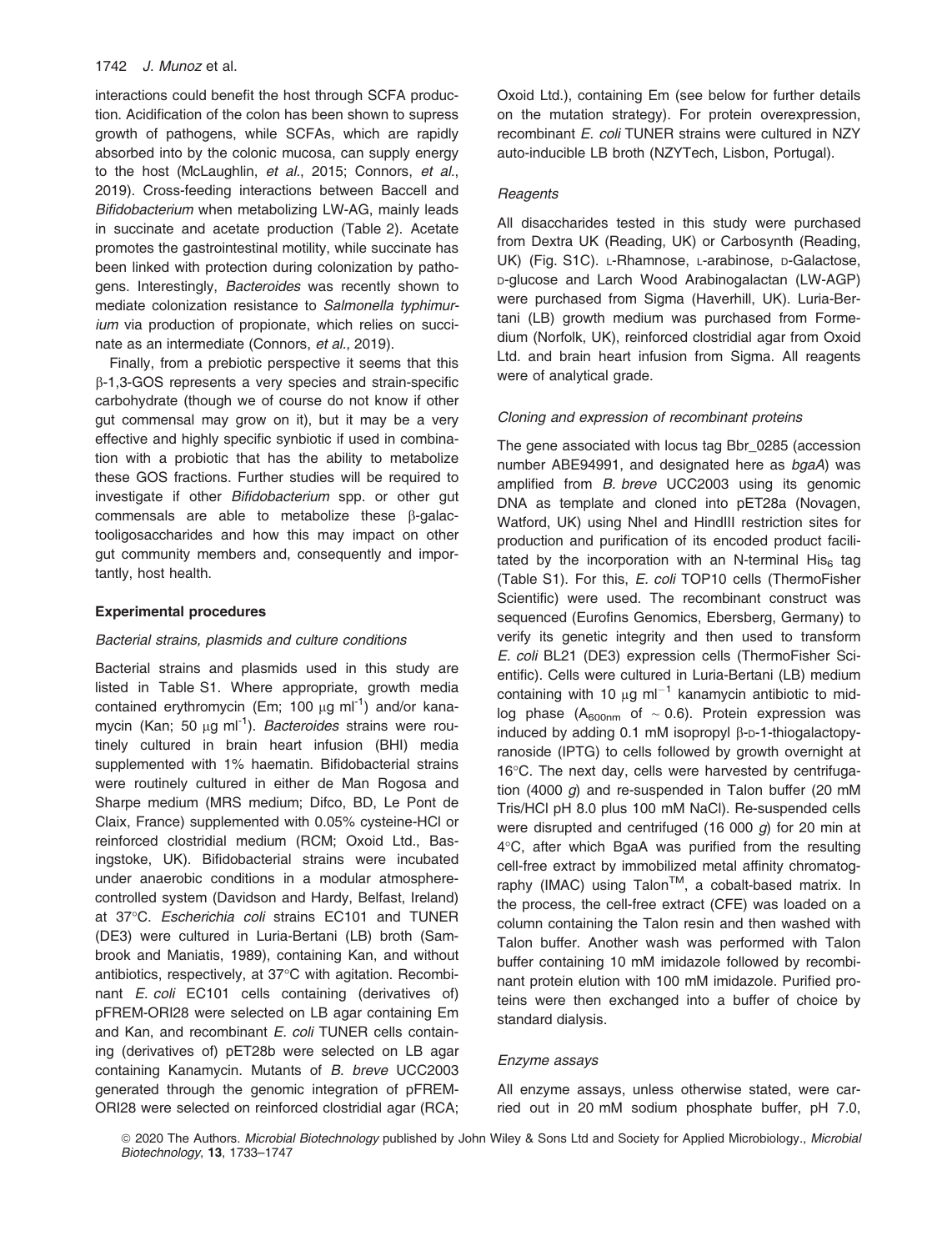interactions could benefit the host through SCFA production. Acidification of the colon has been shown to supress growth of pathogens, while SCFAs, which are rapidly absorbed into by the colonic mucosa, can supply energy to the host (McLaughlin, et al., 2015; Connors, et al., 2019). Cross-feeding interactions between Baccell and Bifidobacterium when metabolizing LW-AG, mainly leads in succinate and acetate production (Table 2). Acetate promotes the gastrointestinal motility, while succinate has been linked with protection during colonization by pathogens. Interestingly, Bacteroides was recently shown to mediate colonization resistance to Salmonella typhimurium via production of propionate, which relies on succinate as an intermediate (Connors, et al., 2019).

Finally, from a prebiotic perspective it seems that this b-1,3-GOS represents a very species and strain-specific carbohydrate (though we of course do not know if other gut commensal may grow on it), but it may be a very effective and highly specific synbiotic if used in combination with a probiotic that has the ability to metabolize these GOS fractions. Further studies will be required to investigate if other Bifidobacterium spp. or other gut commensals are able to metabolize these  $\beta$ -galactooligosaccharides and how this may impact on other gut community members and, consequently and importantly, host health.

#### Experimental procedures

#### Bacterial strains, plasmids and culture conditions

Bacterial strains and plasmids used in this study are listed in Table S1. Where appropriate, growth media contained erythromycin (Em; 100  $\mu$ g m $l^{-1}$ ) and/or kanamycin (Kan; 50  $\mu$ g ml<sup>-1</sup>). Bacteroides strains were routinely cultured in brain heart infusion (BHI) media supplemented with 1% haematin. Bifidobacterial strains were routinely cultured in either de Man Rogosa and Sharpe medium (MRS medium; Difco, BD, Le Pont de Claix, France) supplemented with 0.05% cysteine-HCl or reinforced clostridial medium (RCM; Oxoid Ltd., Basingstoke, UK). Bifidobacterial strains were incubated under anaerobic conditions in a modular atmospherecontrolled system (Davidson and Hardy, Belfast, Ireland) at 37°C. Escherichia coli strains EC101 and TUNER (DE3) were cultured in Luria-Bertani (LB) broth (Sambrook and Maniatis, 1989), containing Kan, and without antibiotics, respectively, at 37°C with agitation. Recombinant E. coli EC101 cells containing (derivatives of) pFREM-ORI28 were selected on LB agar containing Em and Kan, and recombinant E. coli TUNER cells containing (derivatives of) pET28b were selected on LB agar containing Kanamycin. Mutants of B. breve UCC2003 generated through the genomic integration of pFREM-ORI28 were selected on reinforced clostridial agar (RCA; Oxoid Ltd.), containing Em (see below for further details on the mutation strategy). For protein overexpression, recombinant E. coli TUNER strains were cultured in NZY auto-inducible LB broth (NZYTech, Lisbon, Portugal).

### **Reagents**

All disaccharides tested in this study were purchased from Dextra UK (Reading, UK) or Carbosynth (Reading, UK) (Fig. S1C). L-Rhamnose, L-arabinose, D-Galactose, D-glucose and Larch Wood Arabinogalactan (LW-AGP) were purchased from Sigma (Haverhill, UK). Luria-Bertani (LB) growth medium was purchased from Formedium (Norfolk, UK), reinforced clostridial agar from Oxoid Ltd. and brain heart infusion from Sigma. All reagents were of analytical grade.

#### Cloning and expression of recombinant proteins

The gene associated with locus tag Bbr\_0285 (accession number [ABE94991,](http://www.ncbi.nlm.nih.gov/nuccore/ABE94991) and designated here as bgaA) was amplified from B. breve UCC2003 using its genomic DNA as template and cloned into pET28a (Novagen, Watford, UK) using NheI and HindIII restriction sites for production and purification of its encoded product facilitated by the incorporation with an N-terminal  $His<sub>6</sub>$  tag (Table S1). For this, E. coli TOP10 cells (ThermoFisher Scientific) were used. The recombinant construct was sequenced (Eurofins Genomics, Ebersberg, Germany) to verify its genetic integrity and then used to transform E. coli BL21 (DE3) expression cells (ThermoFisher Scientific). Cells were cultured in Luria-Bertani (LB) medium containing with 10  $\mu$ g ml<sup>-1</sup> kanamycin antibiotic to midlog phase  $(A_{600nm}$  of  $\sim$  0.6). Protein expression was induced by adding  $0.1$  mM isopropyl  $\beta$ -D-1-thiogalactopyranoside (IPTG) to cells followed by growth overnight at 16°C. The next day, cells were harvested by centrifugation (4000 g) and re-suspended in Talon buffer (20 mM Tris/HCl pH 8.0 plus 100 mM NaCl). Re-suspended cells were disrupted and centrifuged (16 000 g) for 20 min at 4°C, after which BgaA was purified from the resulting cell-free extract by immobilized metal affinity chromatography (IMAC) using Talon™, a cobalt-based matrix. In the process, the cell-free extract (CFE) was loaded on a column containing the Talon resin and then washed with Talon buffer. Another wash was performed with Talon buffer containing 10 mM imidazole followed by recombinant protein elution with 100 mM imidazole. Purified proteins were then exchanged into a buffer of choice by standard dialysis.

# Enzyme assays

All enzyme assays, unless otherwise stated, were carried out in 20 mM sodium phosphate buffer, pH 7.0,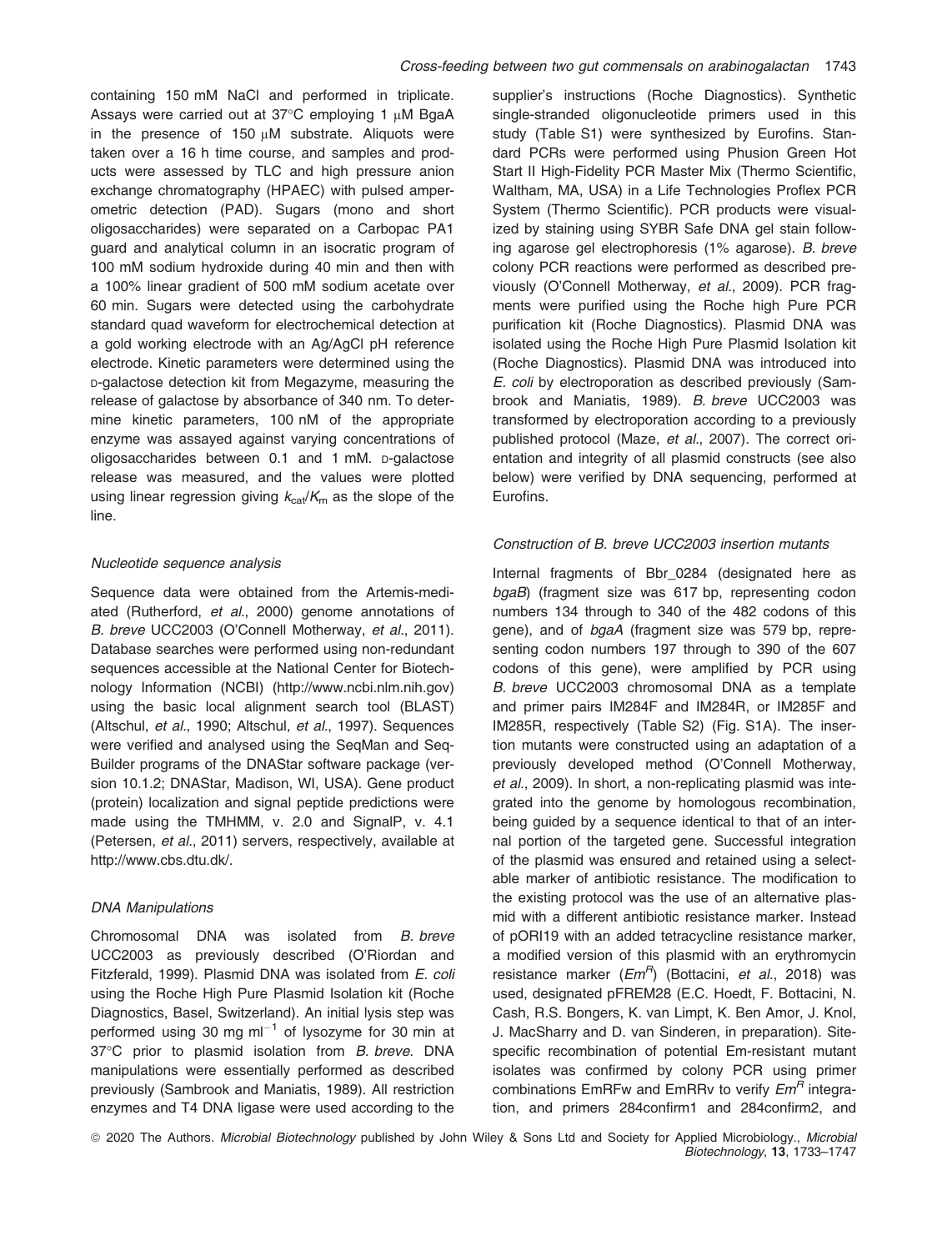containing 150 mM NaCl and performed in triplicate. Assays were carried out at 37°C employing 1 µM BgaA in the presence of 150  $\mu$ M substrate. Aliquots were taken over a 16 h time course, and samples and products were assessed by TLC and high pressure anion exchange chromatography (HPAEC) with pulsed amperometric detection (PAD). Sugars (mono and short oligosaccharides) were separated on a Carbopac PA1 guard and analytical column in an isocratic program of 100 mM sodium hydroxide during 40 min and then with a 100% linear gradient of 500 mM sodium acetate over 60 min. Sugars were detected using the carbohydrate standard quad waveform for electrochemical detection at a gold working electrode with an Ag/AgCl pH reference electrode. Kinetic parameters were determined using the D-galactose detection kit from Megazyme, measuring the release of galactose by absorbance of 340 nm. To determine kinetic parameters, 100 nM of the appropriate enzyme was assayed against varying concentrations of oligosaccharides between 0.1 and 1 mM. D-galactose release was measured, and the values were plotted using linear regression giving  $k_{cat}/K_m$  as the slope of the line.

# Nucleotide sequence analysis

Sequence data were obtained from the Artemis-mediated (Rutherford, et al., 2000) genome annotations of B. breve UCC2003 (O'Connell Motherway, et al., 2011). Database searches were performed using non-redundant sequences accessible at the National Center for Biotechnology Information (NCBI) [\(http://www.ncbi.nlm.nih.gov](http://www.ncbi.nlm.nih.gov)) using the basic local alignment search tool (BLAST) (Altschul, et al., 1990; Altschul, et al., 1997). Sequences were verified and analysed using the SeqMan and Seq-Builder programs of the DNAStar software package (version 10.1.2; DNAStar, Madison, WI, USA). Gene product (protein) localization and signal peptide predictions were made using the TMHMM, v. 2.0 and SignalP, v. 4.1 (Petersen, et al., 2011) servers, respectively, available at <http://www.cbs.dtu.dk/>.

#### DNA Manipulations

Chromosomal DNA was isolated from B. breve UCC2003 as previously described (O'Riordan and Fitzferald, 1999). Plasmid DNA was isolated from E. coli using the Roche High Pure Plasmid Isolation kit (Roche Diagnostics, Basel, Switzerland). An initial lysis step was performed using 30 mg  $ml^{-1}$  of lysozyme for 30 min at 37°C prior to plasmid isolation from B. breve. DNA manipulations were essentially performed as described previously (Sambrook and Maniatis, 1989). All restriction enzymes and T4 DNA ligase were used according to the

supplier's instructions (Roche Diagnostics). Synthetic single-stranded oligonucleotide primers used in this study (Table S1) were synthesized by Eurofins. Standard PCRs were performed using Phusion Green Hot Start II High-Fidelity PCR Master Mix (Thermo Scientific, Waltham, MA, USA) in a Life Technologies Proflex PCR System (Thermo Scientific). PCR products were visualized by staining using SYBR Safe DNA gel stain following agarose gel electrophoresis (1% agarose). B. breve colony PCR reactions were performed as described previously (O'Connell Motherway, et al., 2009). PCR fragments were purified using the Roche high Pure PCR purification kit (Roche Diagnostics). Plasmid DNA was isolated using the Roche High Pure Plasmid Isolation kit (Roche Diagnostics). Plasmid DNA was introduced into E. coli by electroporation as described previously (Sambrook and Maniatis, 1989). B. breve UCC2003 was transformed by electroporation according to a previously published protocol (Maze, et al., 2007). The correct orientation and integrity of all plasmid constructs (see also below) were verified by DNA sequencing, performed at Eurofins.

### Construction of B. breve UCC2003 insertion mutants

Internal fragments of Bbr 0284 (designated here as bgaB) (fragment size was 617 bp, representing codon numbers 134 through to 340 of the 482 codons of this gene), and of bgaA (fragment size was 579 bp, representing codon numbers 197 through to 390 of the 607 codons of this gene), were amplified by PCR using B. breve UCC2003 chromosomal DNA as a template and primer pairs IM284F and IM284R, or IM285F and IM285R, respectively (Table S2) (Fig. S1A). The insertion mutants were constructed using an adaptation of a previously developed method (O'Connell Motherway, et al., 2009). In short, a non-replicating plasmid was integrated into the genome by homologous recombination, being guided by a sequence identical to that of an internal portion of the targeted gene. Successful integration of the plasmid was ensured and retained using a selectable marker of antibiotic resistance. The modification to the existing protocol was the use of an alternative plasmid with a different antibiotic resistance marker. Instead of pORI19 with an added tetracycline resistance marker, a modified version of this plasmid with an erythromycin resistance marker ( $Em<sup>R</sup>$ ) (Bottacini, et al., 2018) was used, designated pFREM28 (E.C. Hoedt, F. Bottacini, N. Cash, R.S. Bongers, K. van Limpt, K. Ben Amor, J. Knol, J. MacSharry and D. van Sinderen, in preparation). Sitespecific recombination of potential Em-resistant mutant isolates was confirmed by colony PCR using primer combinations EmRFw and EmRRy to verify  $Em<sup>R</sup>$  integration, and primers 284confirm1 and 284confirm2, and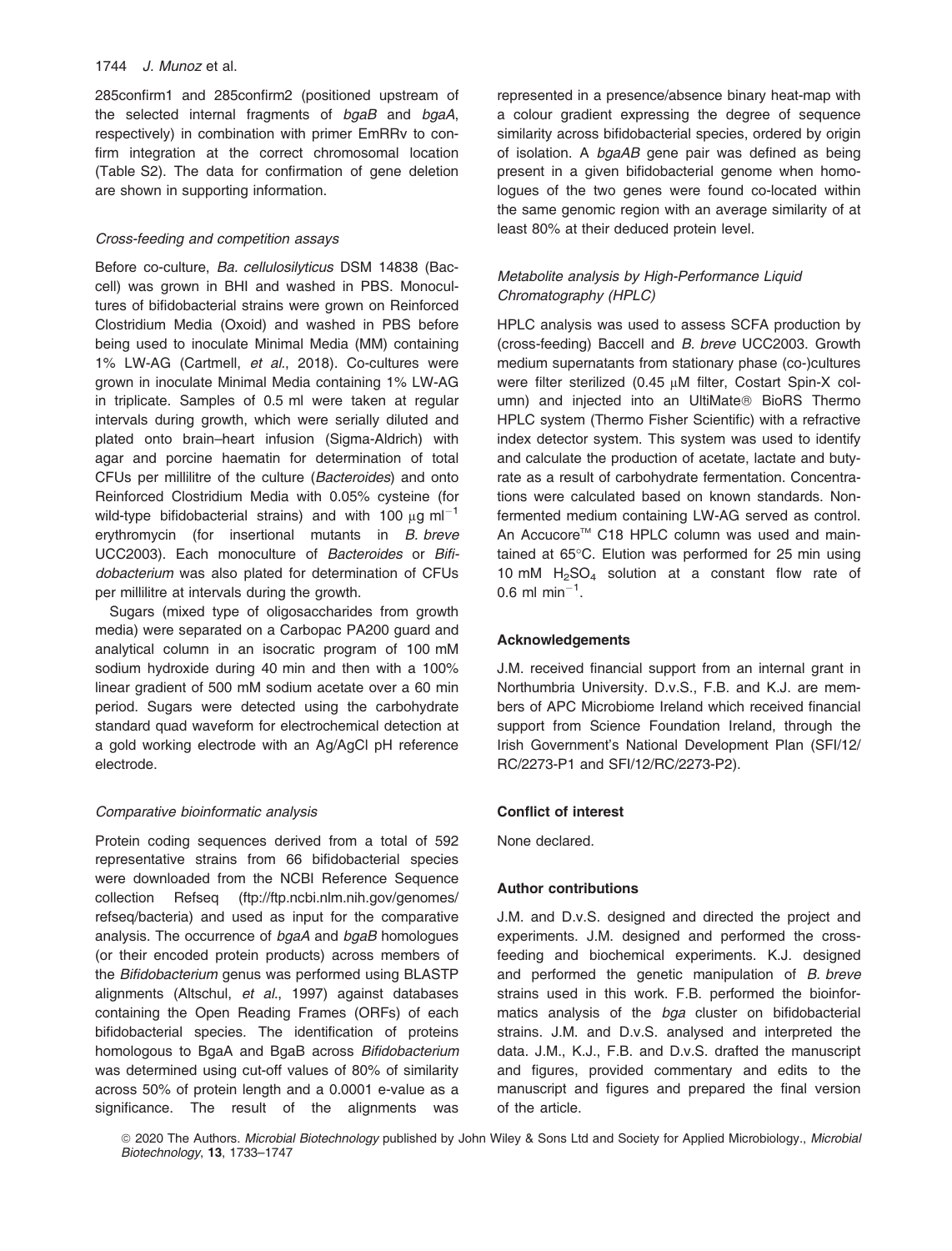285confirm1 and 285confirm2 (positioned upstream of the selected internal fragments of bgaB and bgaA, respectively) in combination with primer EmRRv to confirm integration at the correct chromosomal location (Table S2). The data for confirmation of gene deletion are shown in supporting information.

### Cross-feeding and competition assays

Before co-culture, Ba. cellulosilyticus DSM 14838 (Baccell) was grown in BHI and washed in PBS. Monocultures of bifidobacterial strains were grown on Reinforced Clostridium Media (Oxoid) and washed in PBS before being used to inoculate Minimal Media (MM) containing 1% LW-AG (Cartmell, et al., 2018). Co-cultures were grown in inoculate Minimal Media containing 1% LW-AG in triplicate. Samples of 0.5 ml were taken at regular intervals during growth, which were serially diluted and plated onto brain–heart infusion (Sigma-Aldrich) with agar and porcine haematin for determination of total CFUs per millilitre of the culture (Bacteroides) and onto Reinforced Clostridium Media with 0.05% cysteine (for wild-type bifidobacterial strains) and with 100  $\mu$ g ml<sup>-1</sup> erythromycin (for insertional mutants in B. breve UCC2003). Each monoculture of Bacteroides or Bifidobacterium was also plated for determination of CFUs per millilitre at intervals during the growth.

Sugars (mixed type of oligosaccharides from growth media) were separated on a Carbopac PA200 guard and analytical column in an isocratic program of 100 mM sodium hydroxide during 40 min and then with a 100% linear gradient of 500 mM sodium acetate over a 60 min period. Sugars were detected using the carbohydrate standard quad waveform for electrochemical detection at a gold working electrode with an Ag/AgCl pH reference electrode.

# Comparative bioinformatic analysis

Protein coding sequences derived from a total of 592 representative strains from 66 bifidobacterial species were downloaded from the NCBI Reference Sequence collection Refseq [\(ftp://ftp.ncbi.nlm.nih.gov/genomes/](ftp://ftp.ncbi.nlm.nih.gov/genomes/refseq/bacteria) [refseq/bacteria](ftp://ftp.ncbi.nlm.nih.gov/genomes/refseq/bacteria)) and used as input for the comparative analysis. The occurrence of bgaA and bgaB homologues (or their encoded protein products) across members of the Bifidobacterium genus was performed using BLASTP alignments (Altschul, et al., 1997) against databases containing the Open Reading Frames (ORFs) of each bifidobacterial species. The identification of proteins homologous to BgaA and BgaB across Bifidobacterium was determined using cut-off values of 80% of similarity across 50% of protein length and a 0.0001 e-value as a significance. The result of the alignments was

represented in a presence/absence binary heat-map with a colour gradient expressing the degree of sequence similarity across bifidobacterial species, ordered by origin of isolation. A bgaAB gene pair was defined as being present in a given bifidobacterial genome when homologues of the two genes were found co-located within the same genomic region with an average similarity of at least 80% at their deduced protein level.

# Metabolite analysis by High-Performance Liquid Chromatography (HPLC)

HPLC analysis was used to assess SCFA production by (cross-feeding) Baccell and B. breve UCC2003. Growth medium supernatants from stationary phase (co-)cultures were filter sterilized (0.45 µM filter, Costart Spin-X column) and injected into an UltiMate<sup>®</sup> BioRS Thermo HPLC system (Thermo Fisher Scientific) with a refractive index detector system. This system was used to identify and calculate the production of acetate, lactate and butyrate as a result of carbohydrate fermentation. Concentrations were calculated based on known standards. Nonfermented medium containing LW-AG served as control. An Accucore™ C18 HPLC column was used and maintained at 65°C. Elution was performed for 25 min using 10 mM  $H<sub>2</sub>SO<sub>4</sub>$  solution at a constant flow rate of  $0.6$  ml min<sup>-1</sup>.

### Acknowledgements

J.M. received financial support from an internal grant in Northumbria University. D.v.S., F.B. and K.J. are members of APC Microbiome Ireland which received financial support from Science Foundation Ireland, through the Irish Government's National Development Plan (SFI/12/ RC/2273-P1 and SFI/12/RC/2273-P2).

# Conflict of interest

None declared.

# Author contributions

J.M. and D.v.S. designed and directed the project and experiments. J.M. designed and performed the crossfeeding and biochemical experiments. K.J. designed and performed the genetic manipulation of B. breve strains used in this work. F.B. performed the bioinformatics analysis of the bga cluster on bifidobacterial strains. J.M. and D.v.S. analysed and interpreted the data. J.M., K.J., F.B. and D.v.S. drafted the manuscript and figures, provided commentary and edits to the manuscript and figures and prepared the final version of the article.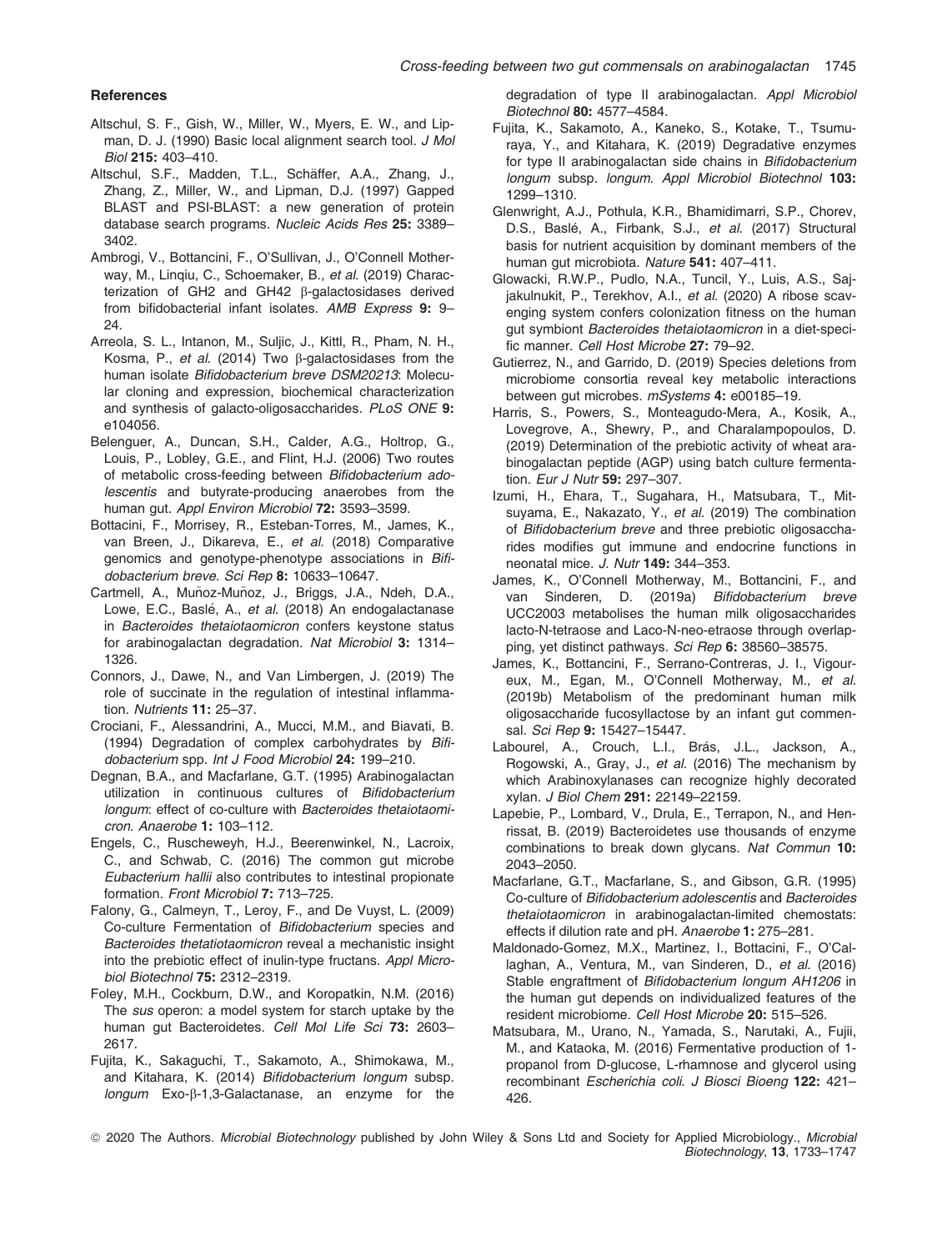#### **References**

- Altschul, S. F., Gish, W., Miller, W., Myers, E. W., and Lipman, D. J. (1990) Basic local alignment search tool. J Mol Biol 215: 403–410.
- Altschul, S.F., Madden, T.L., Schäffer, A.A., Zhang, J., Zhang, Z., Miller, W., and Lipman, D.J. (1997) Gapped BLAST and PSI-BLAST: a new generation of protein database search programs. Nucleic Acids Res 25: 3389-3402.
- Ambrogi, V., Bottancini, F., O'Sullivan, J., O'Connell Motherway, M., Linqiu, C., Schoemaker, B., et al. (2019) Characterization of GH2 and GH42 b-galactosidases derived from bifidobacterial infant isolates. AMB Express 9: 9– 24.
- Arreola, S. L., Intanon, M., Suljic, J., Kittl, R., Pham, N. H., Kosma, P., et al. (2014) Two  $\beta$ -galactosidases from the human isolate Bifidobacterium breve DSM20213: Molecular cloning and expression, biochemical characterization and synthesis of galacto-oligosaccharides. PLoS ONE 9: e104056.
- Belenguer, A., Duncan, S.H., Calder, A.G., Holtrop, G., Louis, P., Lobley, G.E., and Flint, H.J. (2006) Two routes of metabolic cross-feeding between Bifidobacterium adolescentis and butyrate-producing anaerobes from the human gut. Appl Environ Microbiol 72: 3593-3599.
- Bottacini, F., Morrisey, R., Esteban-Torres, M., James, K., van Breen, J., Dikareva, E., et al. (2018) Comparative genomics and genotype-phenotype associations in Bifidobacterium breve. Sci Rep 8: 10633–10647.
- Cartmell, A., Muñoz-Muñoz, J., Briggs, J.A., Ndeh, D.A., Lowe, E.C., Baslé, A., et al. (2018) An endogalactanase in Bacteroides thetaiotaomicron confers keystone status for arabinogalactan degradation. Nat Microbiol 3: 1314– 1326.
- Connors, J., Dawe, N., and Van Limbergen, J. (2019) The role of succinate in the regulation of intestinal inflammation. Nutrients 11: 25–37.
- Crociani, F., Alessandrini, A., Mucci, M.M., and Biavati, B. (1994) Degradation of complex carbohydrates by Bifidobacterium spp. Int J Food Microbiol 24: 199–210.
- Degnan, B.A., and Macfarlane, G.T. (1995) Arabinogalactan utilization in continuous cultures of Bifidobacterium longum: effect of co-culture with Bacteroides thetaiotaomicron. Anaerobe 1: 103–112.
- Engels, C., Ruscheweyh, H.J., Beerenwinkel, N., Lacroix, C., and Schwab, C. (2016) The common gut microbe Eubacterium hallii also contributes to intestinal propionate formation. Front Microbiol 7: 713–725.
- Falony, G., Calmeyn, T., Leroy, F., and De Vuyst, L. (2009) Co-culture Fermentation of Bifidobacterium species and Bacteroides thetatiotaomicron reveal a mechanistic insight into the prebiotic effect of inulin-type fructans. Appl Microbiol Biotechnol 75: 2312–2319.
- Foley, M.H., Cockburn, D.W., and Koropatkin, N.M. (2016) The sus operon: a model system for starch uptake by the human gut Bacteroidetes. Cell Mol Life Sci 73: 2603-2617.
- Fujita, K., Sakaguchi, T., Sakamoto, A., Shimokawa, M., and Kitahara, K. (2014) Bifidobacterium longum subsp. longum Exo-β-1,3-Galactanase, an enzyme for the

degradation of type II arabinogalactan. Appl Microbiol Biotechnol 80: 4577–4584.

- Fujita, K., Sakamoto, A., Kaneko, S., Kotake, T., Tsumuraya, Y., and Kitahara, K. (2019) Degradative enzymes for type II arabinogalactan side chains in Bifidobacterium longum subsp. longum. Appl Microbiol Biotechnol 103: 1299–1310.
- Glenwright, A.J., Pothula, K.R., Bhamidimarri, S.P., Chorev, D.S., Baslé, A., Firbank, S.J., et al. (2017) Structural basis for nutrient acquisition by dominant members of the human gut microbiota. Nature 541: 407–411.
- Glowacki, R.W.P., Pudlo, N.A., Tuncil, Y., Luis, A.S., Sajjakulnukit, P., Terekhov, A.I., et al. (2020) A ribose scavenging system confers colonization fitness on the human gut symbiont Bacteroides thetaiotaomicron in a diet-specific manner. Cell Host Microbe 27: 79–92.
- Gutierrez, N., and Garrido, D. (2019) Species deletions from microbiome consortia reveal key metabolic interactions between gut microbes. mSystems 4: e00185–19.
- Harris, S., Powers, S., Monteagudo-Mera, A., Kosik, A., Lovegrove, A., Shewry, P., and Charalampopoulos, D. (2019) Determination of the prebiotic activity of wheat arabinogalactan peptide (AGP) using batch culture fermentation. Eur J Nutr 59: 297-307.
- Izumi, H., Ehara, T., Sugahara, H., Matsubara, T., Mitsuyama, E., Nakazato, Y., et al. (2019) The combination of Bifidobacterium breve and three prebiotic oligosaccharides modifies gut immune and endocrine functions in neonatal mice. J. Nutr 149: 344–353.
- James, K., O'Connell Motherway, M., Bottancini, F., and van Sinderen, D. (2019a) Bifidobacterium breve UCC2003 metabolises the human milk oligosaccharides lacto-N-tetraose and Laco-N-neo-etraose through overlapping, yet distinct pathways. Sci Rep 6: 38560–38575.
- James, K., Bottancini, F., Serrano-Contreras, J. I., Vigoureux, M., Egan, M., O'Connell Motherway, M., et al. (2019b) Metabolism of the predominant human milk oligosaccharide fucosyllactose by an infant gut commensal. Sci Rep 9: 15427–15447.
- Labourel, A., Crouch, L.I., Brás, J.L., Jackson, A., Rogowski, A., Gray, J., et al. (2016) The mechanism by which Arabinoxylanases can recognize highly decorated xylan. J Biol Chem 291: 22149–22159.
- Lapebie, P., Lombard, V., Drula, E., Terrapon, N., and Henrissat, B. (2019) Bacteroidetes use thousands of enzyme combinations to break down glycans. Nat Commun 10: 2043–2050.
- Macfarlane, G.T., Macfarlane, S., and Gibson, G.R. (1995) Co-culture of Bifidobacterium adolescentis and Bacteroides thetaiotaomicron in arabinogalactan-limited chemostats: effects if dilution rate and pH. Anaerobe 1: 275–281.
- Maldonado-Gomez, M.X., Martinez, I., Bottacini, F., O'Callaghan, A., Ventura, M., van Sinderen, D., et al. (2016) Stable engraftment of Bifidobacterium longum AH1206 in the human gut depends on individualized features of the resident microbiome. Cell Host Microbe 20: 515–526.
- Matsubara, M., Urano, N., Yamada, S., Narutaki, A., Fujii, M., and Kataoka, M. (2016) Fermentative production of 1 propanol from D-glucose, L-rhamnose and glycerol using recombinant Escherichia coli. J Biosci Bioeng 122: 421– 426.
- © 2020 The Authors. Microbial Biotechnology published by John Wiley & Sons Ltd and Society for Applied Microbiology., Microbial Biotechnology, 13, 1733–1747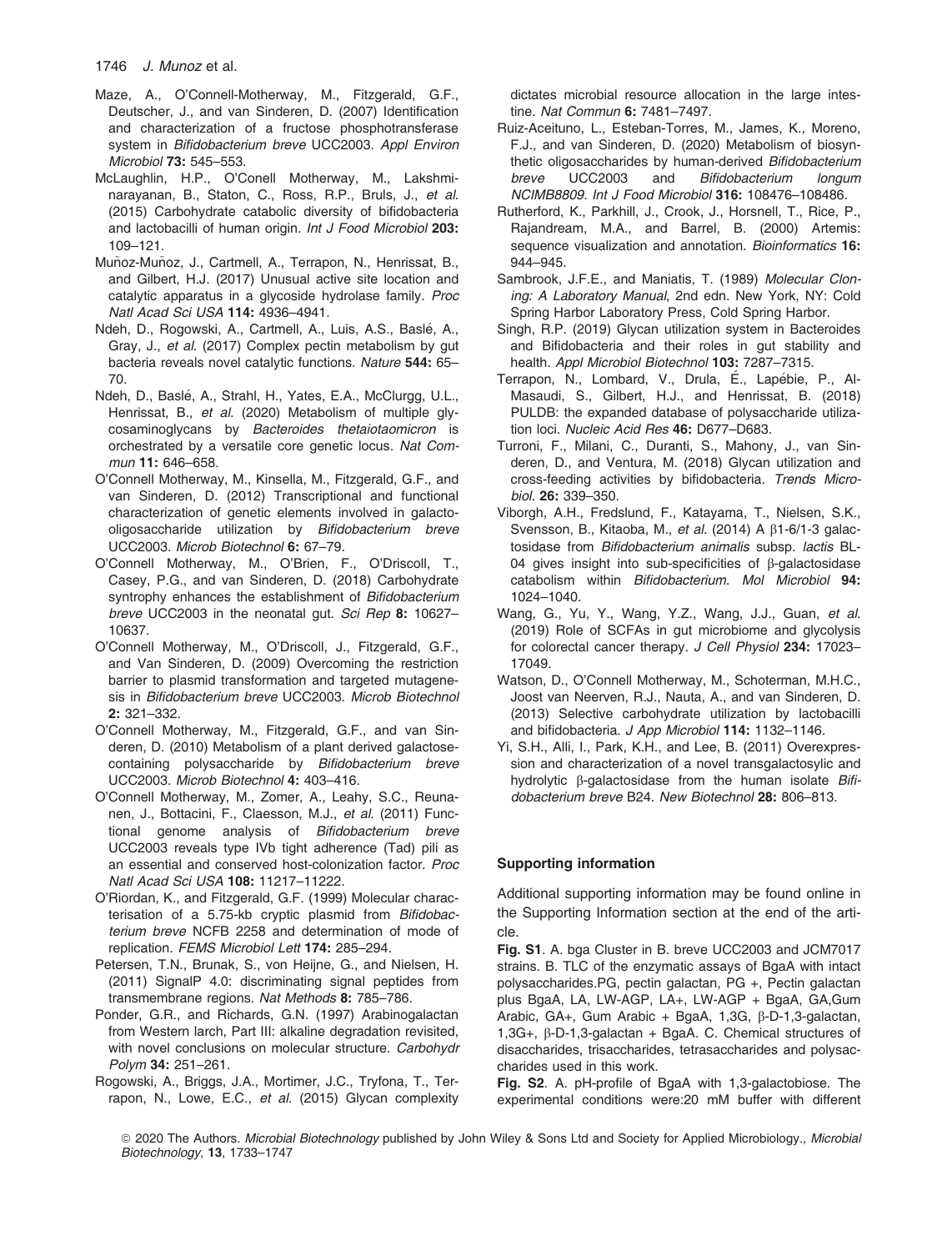- Maze, A., O'Connell-Motherway, M., Fitzgerald, G.F., Deutscher, J., and van Sinderen, D. (2007) Identification and characterization of a fructose phosphotransferase system in Bifidobacterium breve UCC2003. Appl Environ Microbiol 73: 545–553.
- McLaughlin, H.P., O'Conell Motherway, M., Lakshminarayanan, B., Staton, C., Ross, R.P., Bruls, J., et al. (2015) Carbohydrate catabolic diversity of bifidobacteria and lactobacilli of human origin. Int J Food Microbiol 203: 109–121.
- Muñoz-Muñoz, J., Cartmell, A., Terrapon, N., Henrissat, B., and Gilbert, H.J. (2017) Unusual active site location and catalytic apparatus in a glycoside hydrolase family. Proc Natl Acad Sci USA 114: 4936–4941.
- Ndeh, D., Rogowski, A., Cartmell, A., Luis, A.S., Baslé, A., Gray, J., et al. (2017) Complex pectin metabolism by gut bacteria reveals novel catalytic functions. Nature 544: 65– 70.
- Ndeh, D., Baslé, A., Strahl, H., Yates, E.A., McClurgg, U.L., Henrissat, B., et al. (2020) Metabolism of multiple glvcosaminoglycans by Bacteroides thetaiotaomicron is orchestrated by a versatile core genetic locus. Nat Commun 11: 646–658.
- O'Connell Motherway, M., Kinsella, M., Fitzgerald, G.F., and van Sinderen, D. (2012) Transcriptional and functional characterization of genetic elements involved in galactooligosaccharide utilization by Bifidobacterium breve UCC2003. Microb Biotechnol 6: 67–79.
- O'Connell Motherway, M., O'Brien, F., O'Driscoll, T., Casey, P.G., and van Sinderen, D. (2018) Carbohydrate syntrophy enhances the establishment of Bifidobacterium breve UCC2003 in the neonatal gut. Sci Rep 8: 10627-10637.
- O'Connell Motherway, M., O'Driscoll, J., Fitzgerald, G.F., and Van Sinderen, D. (2009) Overcoming the restriction barrier to plasmid transformation and targeted mutagenesis in Bifidobacterium breve UCC2003. Microb Biotechnol 2: 321–332.
- O'Connell Motherway, M., Fitzgerald, G.F., and van Sinderen, D. (2010) Metabolism of a plant derived galactosecontaining polysaccharide by Bifidobacterium breve UCC2003. Microb Biotechnol 4: 403–416.
- O'Connell Motherway, M., Zomer, A., Leahy, S.C., Reunanen, J., Bottacini, F., Claesson, M.J., et al. (2011) Functional genome analysis of Bifidobacterium breve UCC2003 reveals type IVb tight adherence (Tad) pili as an essential and conserved host-colonization factor. Proc Natl Acad Sci USA 108: 11217–11222.
- O'Riordan, K., and Fitzgerald, G.F. (1999) Molecular characterisation of a 5.75-kb cryptic plasmid from Bifidobacterium breve NCFB 2258 and determination of mode of replication. FEMS Microbiol Lett 174: 285–294.
- Petersen, T.N., Brunak, S., von Heijne, G., and Nielsen, H. (2011) SignalP 4.0: discriminating signal peptides from transmembrane regions. Nat Methods 8: 785–786.
- Ponder, G.R., and Richards, G.N. (1997) Arabinogalactan from Western larch, Part III: alkaline degradation revisited, with novel conclusions on molecular structure. Carbohydr Polym 34: 251–261.
- Rogowski, A., Briggs, J.A., Mortimer, J.C., Tryfona, T., Terrapon, N., Lowe, E.C., et al. (2015) Glycan complexity

dictates microbial resource allocation in the large intestine. Nat Commun 6: 7481-7497.

- Ruiz-Aceituno, L., Esteban-Torres, M., James, K., Moreno, F.J., and van Sinderen, D. (2020) Metabolism of biosynthetic oligosaccharides by human-derived Bifidobacterium breve UCC2003 and Bifidobacterium longum NCIMB8809. Int J Food Microbiol 316: 108476–108486.
- Rutherford, K., Parkhill, J., Crook, J., Horsnell, T., Rice, P., Rajandream, M.A., and Barrel, B. (2000) Artemis: sequence visualization and annotation. Bioinformatics 16: 944–945.
- Sambrook, J.F.E., and Maniatis, T. (1989) Molecular Cloning: A Laboratory Manual, 2nd edn. New York, NY: Cold Spring Harbor Laboratory Press, Cold Spring Harbor.
- Singh, R.P. (2019) Glycan utilization system in Bacteroides and Bifidobacteria and their roles in gut stability and health. Appl Microbiol Biotechnol 103: 7287-7315.
- Terrapon, N., Lombard, V., Drula, É., Lapébie, P., Al-Masaudi, S., Gilbert, H.J., and Henrissat, B. (2018) PULDB: the expanded database of polysaccharide utilization loci. Nucleic Acid Res 46: D677–D683.
- Turroni, F., Milani, C., Duranti, S., Mahony, J., van Sinderen, D., and Ventura, M. (2018) Glycan utilization and cross-feeding activities by bifidobacteria. Trends Microbiol. 26: 339–350.
- Viborgh, A.H., Fredslund, F., Katayama, T., Nielsen, S.K., Svensson, B., Kitaoba, M., et al. (2014) A  $\beta$ 1-6/1-3 galactosidase from Bifidobacterium animalis subsp. lactis BL-04 gives insight into sub-specificities of  $\beta$ -galactosidase catabolism within Bifidobacterium. Mol Microbiol 94: 1024–1040.
- Wang, G., Yu, Y., Wang, Y.Z., Wang, J.J., Guan, et al. (2019) Role of SCFAs in gut microbiome and glycolysis for colorectal cancer therapy. J Cell Physiol 234: 17023– 17049.
- Watson, D., O'Connell Motherway, M., Schoterman, M.H.C., Joost van Neerven, R.J., Nauta, A., and van Sinderen, D. (2013) Selective carbohydrate utilization by lactobacilli and bifidobacteria. J App Microbiol 114: 1132-1146.
- Yi, S.H., Alli, I., Park, K.H., and Lee, B. (2011) Overexpression and characterization of a novel transgalactosylic and hydrolytic  $\beta$ -galactosidase from the human isolate Bifidobacterium breve B24. New Biotechnol 28: 806–813.

# Supporting information

Additional supporting information may be found online in the Supporting Information section at the end of the article.

Fig. S1. A. bga Cluster in B. breve UCC2003 and JCM7017 strains. B. TLC of the enzymatic assays of BgaA with intact polysaccharides.PG, pectin galactan, PG +, Pectin galactan plus BgaA, LA, LW-AGP, LA+, LW-AGP + BgaA, GA,Gum Arabic, GA+, Gum Arabic + BgaA, 1,3G,  $\beta$ -D-1,3-galactan, 1,3G+, b-D-1,3-galactan + BgaA. C. Chemical structures of disaccharides, trisaccharides, tetrasaccharides and polysaccharides used in this work.

Fig. S2. A. pH-profile of BgaA with 1,3-galactobiose. The experimental conditions were:20 mM buffer with different

<sup>© 2020</sup> The Authors. Microbial Biotechnology published by John Wiley & Sons Ltd and Society for Applied Microbiology., Microbial Biotechnology, 13, 1733–1747